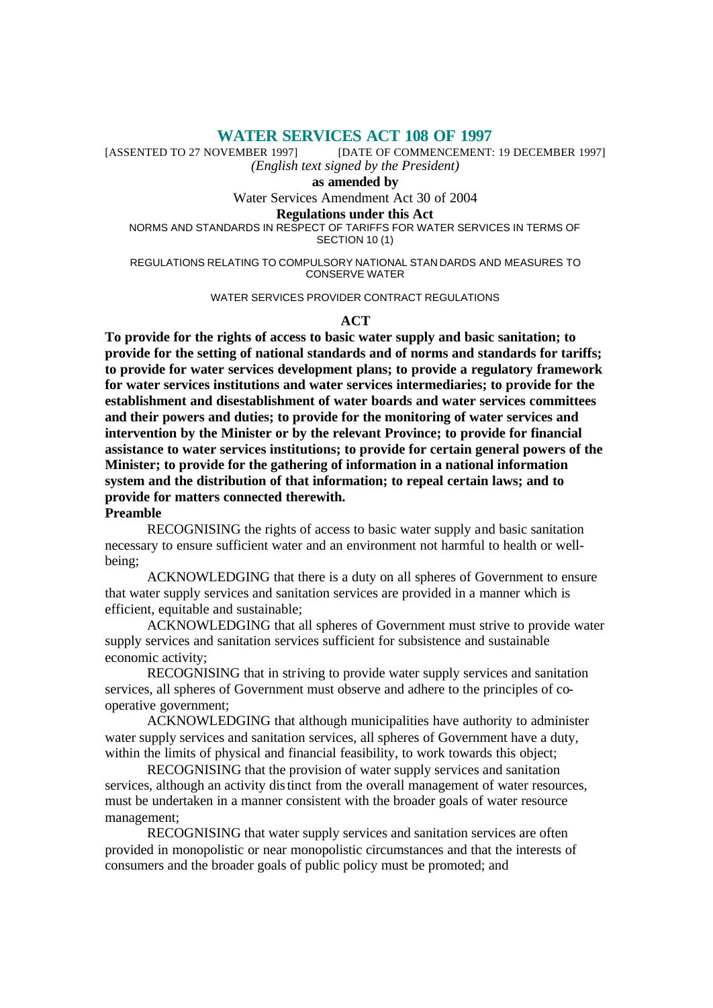**WATER SERVICES ACT 108 OF 1997**<br>[DATE OF COMMENCEMENT: [DATE OF COMMENCEMENT: 19 DECEMBER 1997] *(English text signed by the President)*

**as amended by**

Water Services Amendment Act 30 of 2004

#### **Regulations under this Act**

NORMS AND STANDARDS IN RESPECT OF TARIFFS FOR WATER SERVICES IN TERMS OF SECTION 10 (1)

REGULATIONS RELATING TO COMPULSORY NATIONAL STAN DARDS AND MEASURES TO CONSERVE WATER

### WATER SERVICES PROVIDER CONTRACT REGULATIONS

### **ACT**

**To provide for the rights of access to basic water supply and basic sanitation; to provide for the setting of national standards and of norms and standards for tariffs; to provide for water services development plans; to provide a regulatory framework for water services institutions and water services intermediaries; to provide for the establishment and disestablishment of water boards and water services committees and their powers and duties; to provide for the monitoring of water services and intervention by the Minister or by the relevant Province; to provide for financial assistance to water services institutions; to provide for certain general powers of the Minister; to provide for the gathering of information in a national information system and the distribution of that information; to repeal certain laws; and to provide for matters connected therewith.**

### **Preamble**

RECOGNISING the rights of access to basic water supply and basic sanitation necessary to ensure sufficient water and an environment not harmful to health or wellbeing;

ACKNOWLEDGING that there is a duty on all spheres of Government to ensure that water supply services and sanitation services are provided in a manner which is efficient, equitable and sustainable;

ACKNOWLEDGING that all spheres of Government must strive to provide water supply services and sanitation services sufficient for subsistence and sustainable economic activity;

RECOGNISING that in striving to provide water supply services and sanitation services, all spheres of Government must observe and adhere to the principles of cooperative government;

ACKNOWLEDGING that although municipalities have authority to administer water supply services and sanitation services, all spheres of Government have a duty, within the limits of physical and financial feasibility, to work towards this object;

RECOGNISING that the provision of water supply services and sanitation services, although an activity distinct from the overall management of water resources, must be undertaken in a manner consistent with the broader goals of water resource management;

RECOGNISING that water supply services and sanitation services are often provided in monopolistic or near monopolistic circumstances and that the interests of consumers and the broader goals of public policy must be promoted; and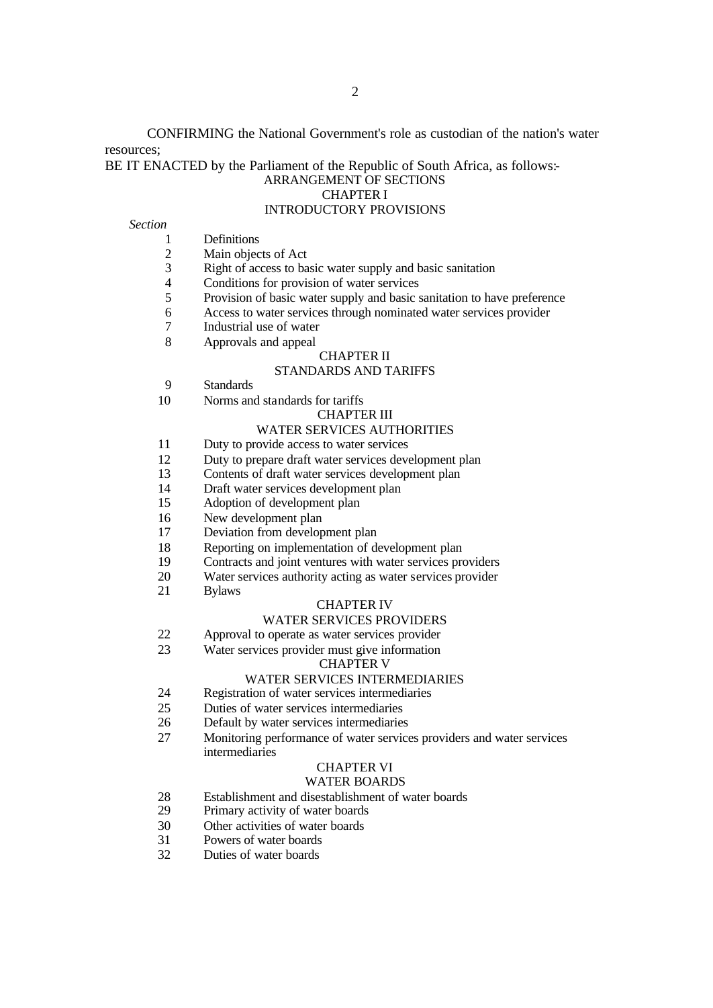CONFIRMING the National Government's role as custodian of the nation's water resources;

### BE IT ENACTED by the Parliament of the Republic of South Africa, as follows:-ARRANGEMENT OF SECTIONS CHAPTER I INTRODUCTORY PROVISIONS

#### *Section*

- 1 Definitions
- 2 Main objects of Act<br>3 Right of access to ba
- Right of access to basic water supply and basic sanitation
- 4 Conditions for provision of water services
- 5 Provision of basic water supply and basic sanitation to have preference
- 6 Access to water services through nominated water services provider
- 7 Industrial use of water
- 8 Approvals and appeal

# CHAPTER II

# STANDARDS AND TARIFFS

- 9 Standards
- 10 Norms and standards for tariffs

#### CHAPTER III

# WATER SERVICES AUTHORITIES

- 11 Duty to provide access to water services
- 12 Duty to prepare draft water services development plan
- 13 Contents of draft water services development plan
- 14 Draft water services development plan
- 15 Adoption of development plan
- 16 New development plan
- 17 Deviation from development plan
- 18 Reporting on implementation of development plan
- 19 Contracts and joint ventures with water services providers
- 20 Water services authority acting as water services provider
- 21 Bylaws

#### CHAPTER IV

#### WATER SERVICES PROVIDERS

- 22 Approval to operate as water services provider
- 23 Water services provider must give information

#### CHAPTER V

# WATER SERVICES INTERMEDIARIES

- 24 Registration of water services intermediaries
- 25 Duties of water services intermediaries
- 26 Default by water services intermediaries
- 27 Monitoring performance of water services providers and water services intermediaries

# CHAPTER VI

### WATER BOARDS

- 28 Establishment and disestablishment of water boards<br>29 Primary activity of water boards
- Primary activity of water boards
- 30 Other activities of water boards
- 31 Powers of water boards
- 32 Duties of water boards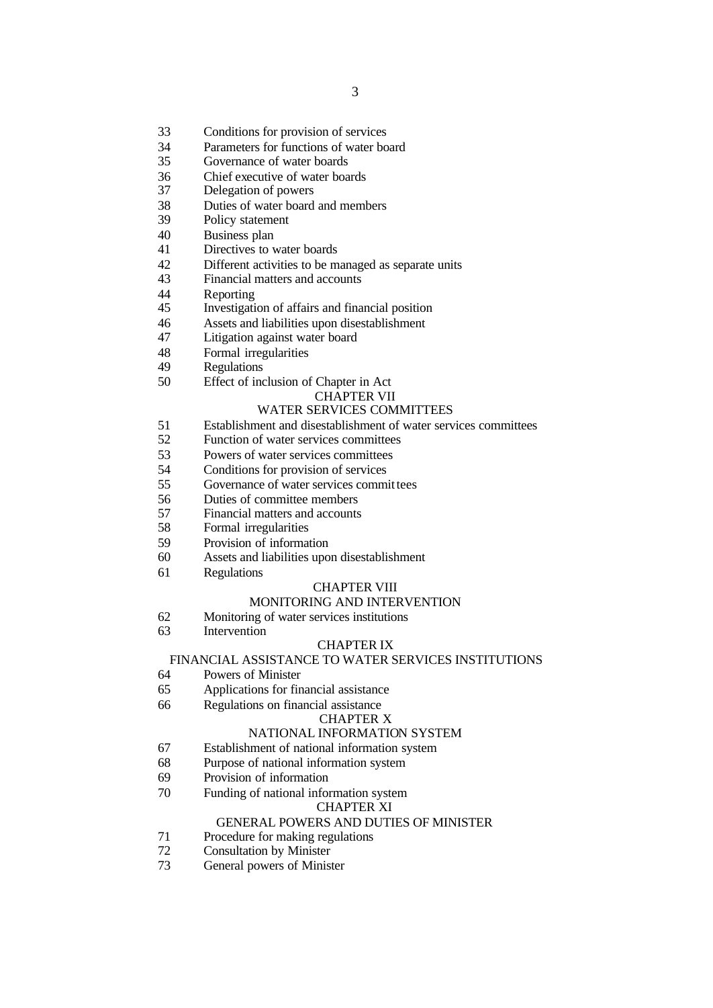- Conditions for provision of services
- Parameters for functions of water board
- Governance of water boards
- 36 Chief executive of water boards<br>37 Delegation of powers
- Delegation of powers
- Duties of water board and members
- Policy statement
- Business plan
- Directives to water boards
- Different activities to be managed as separate units
- Financial matters and accounts
- 44 Reporting<br>45 Investigati
- Investigation of affairs and financial position
- Assets and liabilities upon disestablishment
- Litigation against water board
- Formal irregularities
- Regulations
- Effect of inclusion of Chapter in Act

#### CHAPTER VII

# WATER SERVICES COMMITTEES

- Establishment and disestablishment of water services committees
- Function of water services committees
- 53 Powers of water services committees<br>54 Conditions for provision of services
- Conditions for provision of services
- 55 Governance of water services committees
- Duties of committee members
- Financial matters and accounts
- Formal irregularities
- Provision of information
- Assets and liabilities upon disestablishment
- Regulations

#### CHAPTER VIII

#### MONITORING AND INTERVENTION

- Monitoring of water services institutions
- Intervention

#### CHAPTER IX

### FINANCIAL ASSISTANCE TO WATER SERVICES INSTITUTIONS

- Powers of Minister
- Applications for financial assistance
- Regulations on financial assistance

#### CHAPTER X

#### NATIONAL INFORMATION SYSTEM

- Establishment of national information system
- Purpose of national information system
- Provision of information
- Funding of national information system

#### CHAPTER XI

#### GENERAL POWERS AND DUTIES OF MINISTER

- Procedure for making regulations
- Consultation by Minister
- General powers of Minister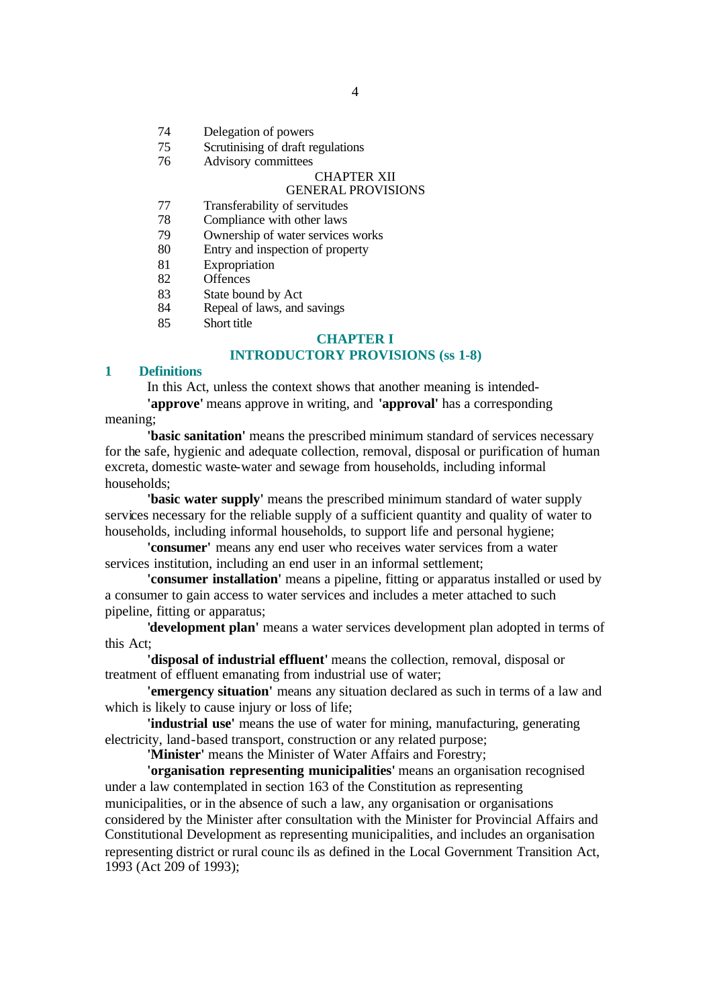- 74 Delegation of powers
- 75 Scrutinising of draft regulations
- 76 Advisory committees

### CHAPTER XII

# GENERAL PROVISIONS

- 77 Transferability of servitudes
- 78 Compliance with other laws
- 79 Ownership of water services works
- 80 Entry and inspection of property
- 81 Expropriation
- 82 Offences
- 83 State bound by Act
- 84 Repeal of laws, and savings
- 85 Short title

### **CHAPTER I**

# **INTRODUCTORY PROVISIONS (ss 1-8)**

# **1 Definitions**

In this Act, unless the context shows that another meaning is intended- **'approve'** means approve in writing, and **'approval'** has a corresponding

meaning;

**'basic sanitation'** means the prescribed minimum standard of services necessary for the safe, hygienic and adequate collection, removal, disposal or purification of human excreta, domestic waste-water and sewage from households, including informal households;

**'basic water supply'** means the prescribed minimum standard of water supply services necessary for the reliable supply of a sufficient quantity and quality of water to households, including informal households, to support life and personal hygiene;

**'consumer'** means any end user who receives water services from a water services institution, including an end user in an informal settlement;

**'consumer installation'** means a pipeline, fitting or apparatus installed or used by a consumer to gain access to water services and includes a meter attached to such pipeline, fitting or apparatus;

**'development plan'** means a water services development plan adopted in terms of this Act;

**'disposal of industrial effluent'** means the collection, removal, disposal or treatment of effluent emanating from industrial use of water;

**'emergency situation'** means any situation declared as such in terms of a law and which is likely to cause injury or loss of life;

**'industrial use'** means the use of water for mining, manufacturing, generating electricity, land-based transport, construction or any related purpose;

**'Minister'** means the Minister of Water Affairs and Forestry;

**'organisation representing municipalities'** means an organisation recognised under a law contemplated in section 163 of the Constitution as representing municipalities, or in the absence of such a law, any organisation or organisations considered by the Minister after consultation with the Minister for Provincial Affairs and Constitutional Development as representing municipalities, and includes an organisation representing district or rural counc ils as defined in the Local Government Transition Act, 1993 (Act 209 of 1993);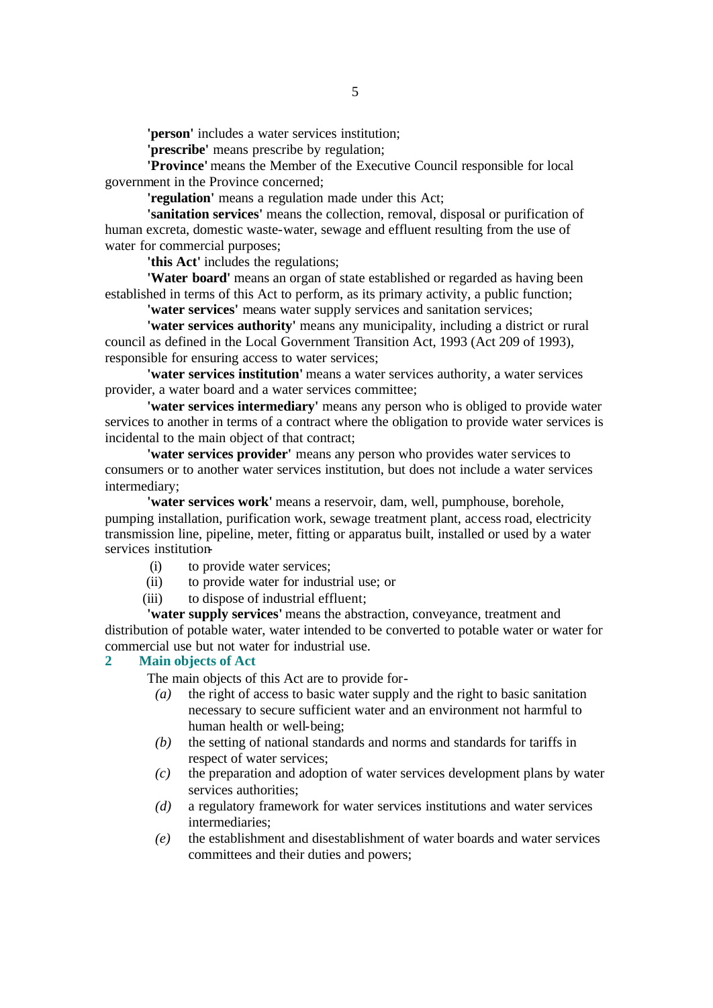**'person'** includes a water services institution;

**'prescribe'** means prescribe by regulation;

**'Province'** means the Member of the Executive Council responsible for local government in the Province concerned;

**'regulation'** means a regulation made under this Act;

**'sanitation services'** means the collection, removal, disposal or purification of human excreta, domestic waste-water, sewage and effluent resulting from the use of water for commercial purposes;

**'this Act'** includes the regulations;

**'Water board'** means an organ of state established or regarded as having been established in terms of this Act to perform, as its primary activity, a public function;

**'water services'** means water supply services and sanitation services;

**'water services authority'** means any municipality, including a district or rural council as defined in the Local Government Transition Act, 1993 (Act 209 of 1993), responsible for ensuring access to water services;

**'water services institution'** means a water services authority, a water services provider, a water board and a water services committee;

**'water services intermediary'** means any person who is obliged to provide water services to another in terms of a contract where the obligation to provide water services is incidental to the main object of that contract;

**'water services provider'** means any person who provides water services to consumers or to another water services institution, but does not include a water services intermediary;

**'water services work'** means a reservoir, dam, well, pumphouse, borehole, pumping installation, purification work, sewage treatment plant, access road, electricity transmission line, pipeline, meter, fitting or apparatus built, installed or used by a water services institution-

- (i) to provide water services;
- (ii) to provide water for industrial use; or
- (iii) to dispose of industrial effluent;

**'water supply services'** means the abstraction, conveyance, treatment and distribution of potable water, water intended to be converted to potable water or water for commercial use but not water for industrial use.

### **2 Main objects of Act**

The main objects of this Act are to provide for-

- *(a)* the right of access to basic water supply and the right to basic sanitation necessary to secure sufficient water and an environment not harmful to human health or well-being;
- *(b)* the setting of national standards and norms and standards for tariffs in respect of water services;
- *(c)* the preparation and adoption of water services development plans by water services authorities;
- *(d)* a regulatory framework for water services institutions and water services intermediaries;
- *(e)* the establishment and disestablishment of water boards and water services committees and their duties and powers;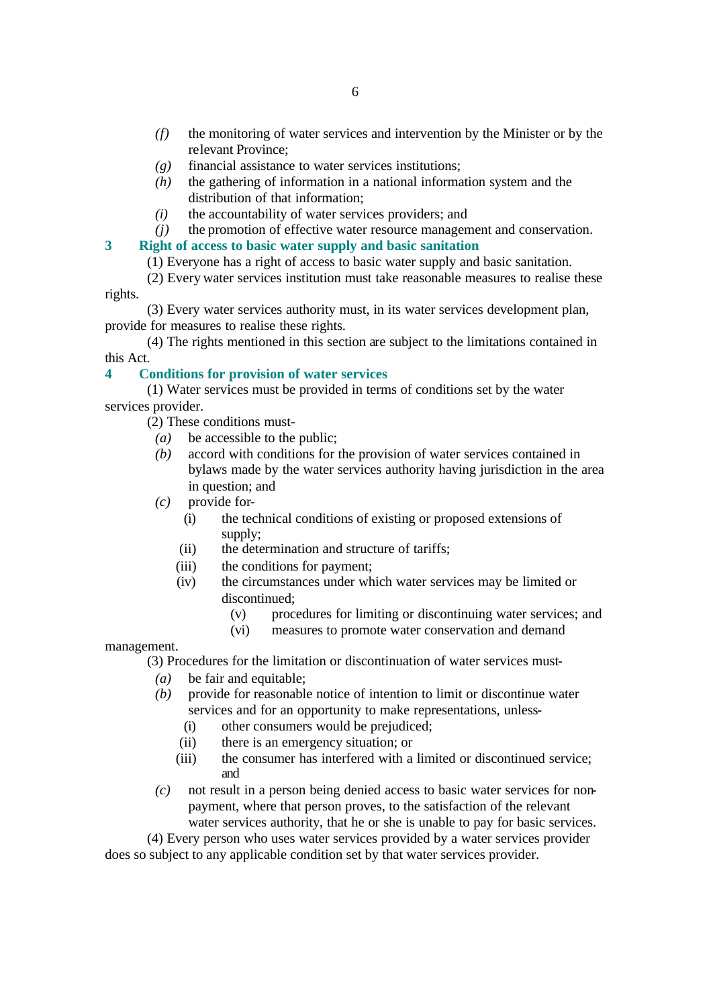- *(f)* the monitoring of water services and intervention by the Minister or by the relevant Province;
- *(g)* financial assistance to water services institutions;
- *(h)* the gathering of information in a national information system and the distribution of that information;
- *(i)* the accountability of water services providers; and
- *(j)* the promotion of effective water resource management and conservation.

# **3 Right of access to basic water supply and basic sanitation**

(1) Everyone has a right of access to basic water supply and basic sanitation.

(2) Every water services institution must take reasonable measures to realise these rights.

(3) Every water services authority must, in its water services development plan, provide for measures to realise these rights.

(4) The rights mentioned in this section are subject to the limitations contained in this Act.

# **4 Conditions for provision of water services**

(1) Water services must be provided in terms of conditions set by the water services provider.

(2) These conditions must-

- *(a)* be accessible to the public;
- *(b)* accord with conditions for the provision of water services contained in bylaws made by the water services authority having jurisdiction in the area in question; and
- *(c)* provide for-
	- (i) the technical conditions of existing or proposed extensions of supply;
	- (ii) the determination and structure of tariffs;
	- (iii) the conditions for payment;
	- (iv) the circumstances under which water services may be limited or discontinued;
		- (v) procedures for limiting or discontinuing water services; and
		- (vi) measures to promote water conservation and demand

# management.

(3) Procedures for the limitation or discontinuation of water services must-

- *(a)* be fair and equitable;
- *(b)* provide for reasonable notice of intention to limit or discontinue water services and for an opportunity to make representations, unless-
	- (i) other consumers would be prejudiced;
	- (ii) there is an emergency situation; or
	- (iii) the consumer has interfered with a limited or discontinued service; and
- *(c)* not result in a person being denied access to basic water services for nonpayment, where that person proves, to the satisfaction of the relevant water services authority, that he or she is unable to pay for basic services.

(4) Every person who uses water services provided by a water services provider does so subject to any applicable condition set by that water services provider.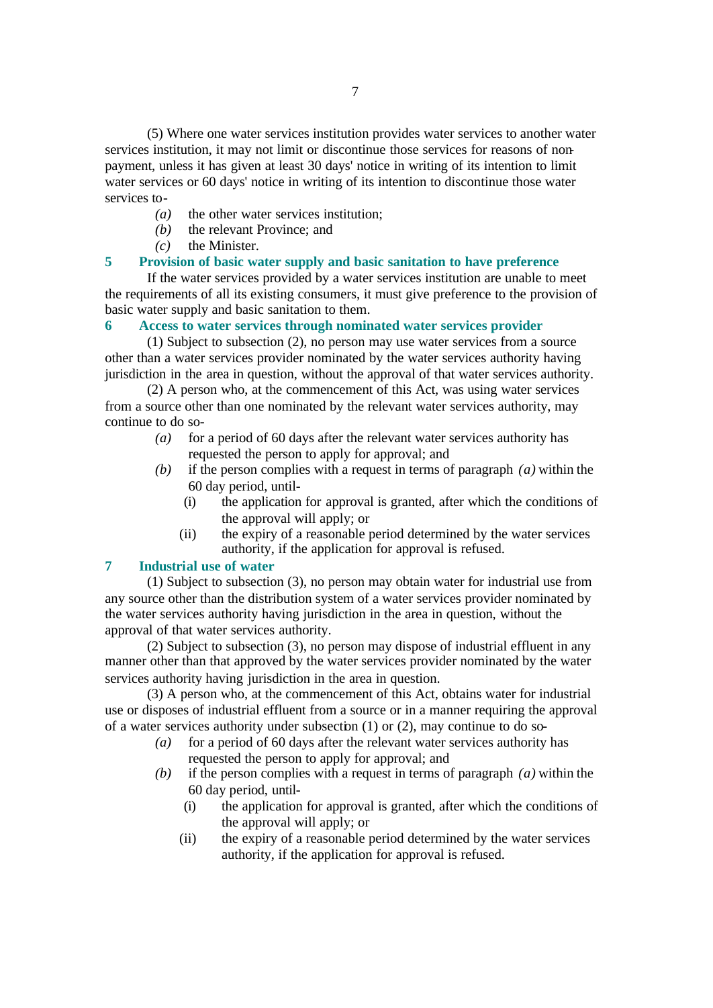(5) Where one water services institution provides water services to another water services institution, it may not limit or discontinue those services for reasons of nonpayment, unless it has given at least 30 days' notice in writing of its intention to limit water services or 60 days' notice in writing of its intention to discontinue those water services to-

- *(a)* the other water services institution;
- *(b)* the relevant Province; and
- *(c)* the Minister.

# **5 Provision of basic water supply and basic sanitation to have preference**

If the water services provided by a water services institution are unable to meet the requirements of all its existing consumers, it must give preference to the provision of basic water supply and basic sanitation to them.

# **6 Access to water services through nominated water services provider**

(1) Subject to subsection (2), no person may use water services from a source other than a water services provider nominated by the water services authority having jurisdiction in the area in question, without the approval of that water services authority.

(2) A person who, at the commencement of this Act, was using water services from a source other than one nominated by the relevant water services authority, may continue to do so-

- *(a)* for a period of 60 days after the relevant water services authority has requested the person to apply for approval; and
- *(b)* if the person complies with a request in terms of paragraph *(a)* within the 60 day period, until-
	- (i) the application for approval is granted, after which the conditions of the approval will apply; or
	- (ii) the expiry of a reasonable period determined by the water services authority, if the application for approval is refused.

# **7 Industrial use of water**

(1) Subject to subsection (3), no person may obtain water for industrial use from any source other than the distribution system of a water services provider nominated by the water services authority having jurisdiction in the area in question, without the approval of that water services authority.

(2) Subject to subsection (3), no person may dispose of industrial effluent in any manner other than that approved by the water services provider nominated by the water services authority having jurisdiction in the area in question.

(3) A person who, at the commencement of this Act, obtains water for industrial use or disposes of industrial effluent from a source or in a manner requiring the approval of a water services authority under subsection (1) or (2), may continue to do so-

- *(a)* for a period of 60 days after the relevant water services authority has requested the person to apply for approval; and
- *(b)* if the person complies with a request in terms of paragraph *(a)* within the 60 day period, until-
	- (i) the application for approval is granted, after which the conditions of the approval will apply; or
	- (ii) the expiry of a reasonable period determined by the water services authority, if the application for approval is refused.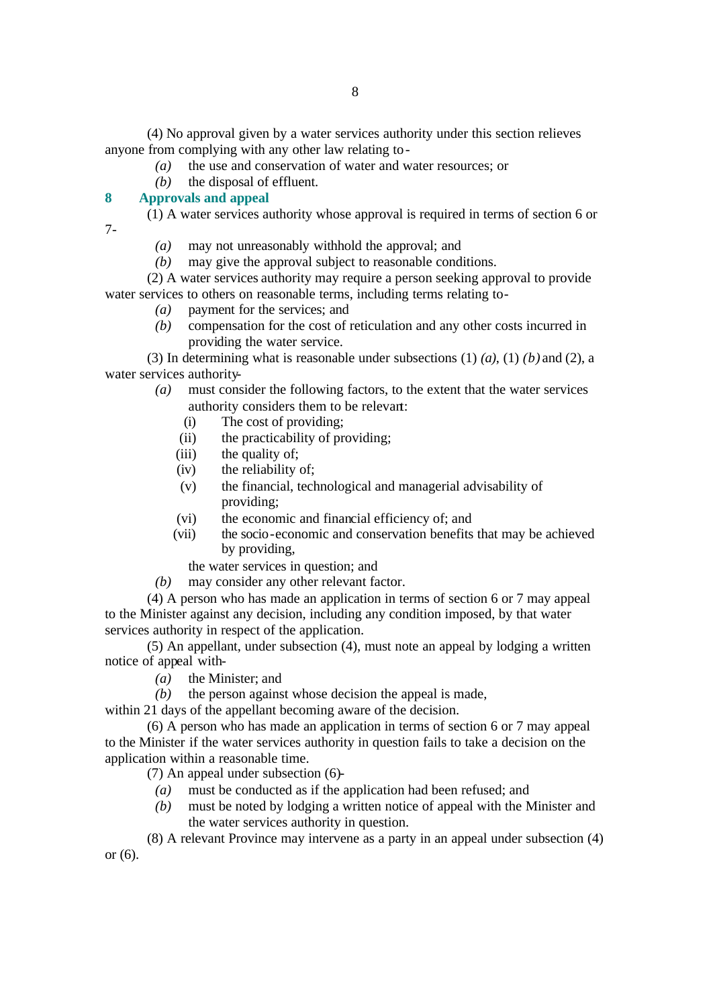(4) No approval given by a water services authority under this section relieves anyone from complying with any other law relating to-

- *(a)* the use and conservation of water and water resources; or
- *(b)* the disposal of effluent.

# **8 Approvals and appeal**

(1) A water services authority whose approval is required in terms of section 6 or 7-

- *(a)* may not unreasonably withhold the approval; and
- *(b)* may give the approval subject to reasonable conditions.

(2) A water services authority may require a person seeking approval to provide water services to others on reasonable terms, including terms relating to-

- *(a)* payment for the services; and
- *(b)* compensation for the cost of reticulation and any other costs incurred in providing the water service.

(3) In determining what is reasonable under subsections (1) *(a)*, (1) *(b)* and (2), a water services authority-

*(a)* must consider the following factors, to the extent that the water services authority considers them to be relevant:

- (i) The cost of providing;
- (ii) the practicability of providing;
- (iii) the quality of;
- (iv) the reliability of;
- (v) the financial, technological and managerial advisability of providing;
- (vi) the economic and financial efficiency of; and
- (vii) the socio-economic and conservation benefits that may be achieved by providing,
- the water services in question; and
- *(b)* may consider any other relevant factor.

(4) A person who has made an application in terms of section 6 or 7 may appeal to the Minister against any decision, including any condition imposed, by that water services authority in respect of the application.

(5) An appellant, under subsection (4), must note an appeal by lodging a written notice of appeal with-

- *(a)* the Minister; and
- *(b)* the person against whose decision the appeal is made,

within 21 days of the appellant becoming aware of the decision.

(6) A person who has made an application in terms of section 6 or 7 may appeal to the Minister if the water services authority in question fails to take a decision on the application within a reasonable time.

(7) An appeal under subsection (6)-

- *(a)* must be conducted as if the application had been refused; and
- *(b)* must be noted by lodging a written notice of appeal with the Minister and the water services authority in question.

(8) A relevant Province may intervene as a party in an appeal under subsection (4) or (6).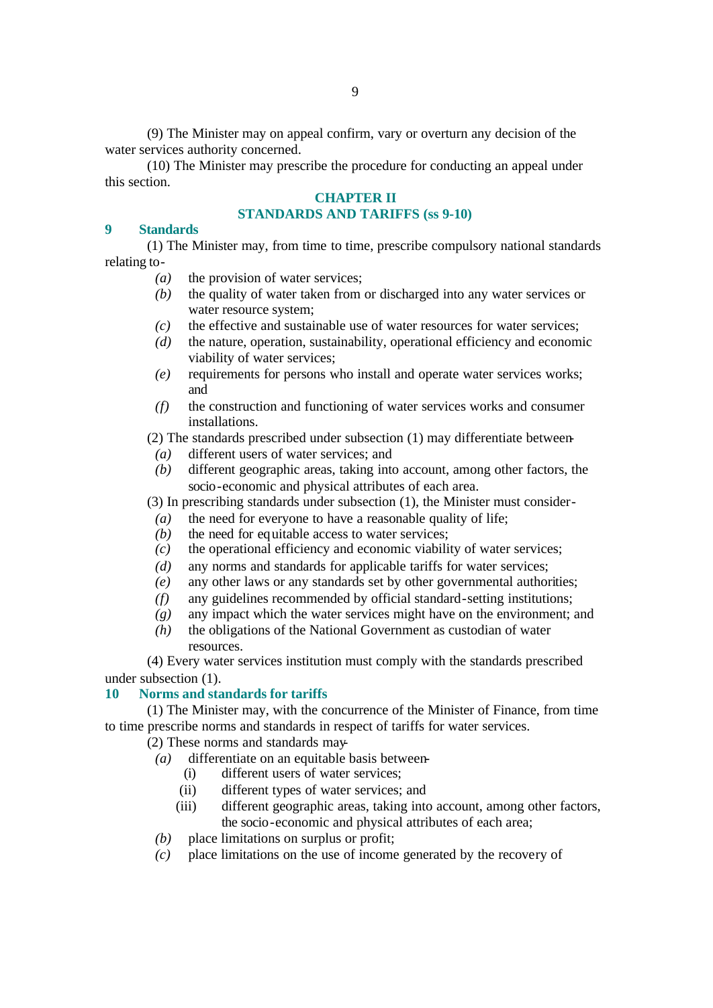(9) The Minister may on appeal confirm, vary or overturn any decision of the water services authority concerned.

(10) The Minister may prescribe the procedure for conducting an appeal under this section.

# **CHAPTER II**

# **STANDARDS AND TARIFFS (ss 9-10)**

# **9 Standards**

(1) The Minister may, from time to time, prescribe compulsory national standards relating to-

- *(a)* the provision of water services;
- *(b)* the quality of water taken from or discharged into any water services or water resource system:
- *(c)* the effective and sustainable use of water resources for water services;
- *(d)* the nature, operation, sustainability, operational efficiency and economic viability of water services;
- *(e)* requirements for persons who install and operate water services works; and
- *(f)* the construction and functioning of water services works and consumer installations.

# (2) The standards prescribed under subsection (1) may differentiate between-

- *(a)* different users of water services; and
- *(b)* different geographic areas, taking into account, among other factors, the socio-economic and physical attributes of each area.

(3) In prescribing standards under subsection (1), the Minister must consider-

- *(a)* the need for everyone to have a reasonable quality of life;
- *(b)* the need for equitable access to water services;
- *(c)* the operational efficiency and economic viability of water services;
- *(d)* any norms and standards for applicable tariffs for water services;
- *(e)* any other laws or any standards set by other governmental authorities;
- *(f)* any guidelines recommended by official standard-setting institutions;
- *(g)* any impact which the water services might have on the environment; and
- *(h)* the obligations of the National Government as custodian of water resources.

(4) Every water services institution must comply with the standards prescribed under subsection (1).

# **10 Norms and standards for tariffs**

(1) The Minister may, with the concurrence of the Minister of Finance, from time to time prescribe norms and standards in respect of tariffs for water services.

(2) These norms and standards may-

- *(a)* differentiate on an equitable basis between-
	- (i) different users of water services;
	- (ii) different types of water services; and
	- (iii) different geographic areas, taking into account, among other factors, the socio-economic and physical attributes of each area;
- *(b)* place limitations on surplus or profit;
- *(c)* place limitations on the use of income generated by the recovery of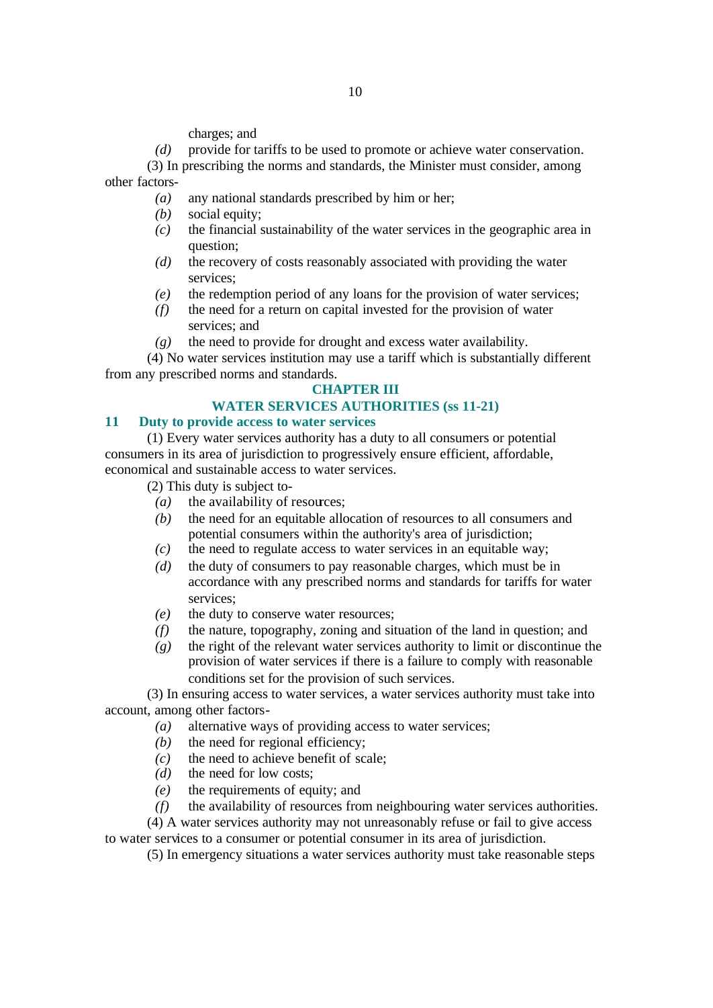charges; and

*(d)* provide for tariffs to be used to promote or achieve water conservation.

(3) In prescribing the norms and standards, the Minister must consider, among other factors-

- *(a)* any national standards prescribed by him or her;
- *(b)* social equity;
- *(c)* the financial sustainability of the water services in the geographic area in question;
- *(d)* the recovery of costs reasonably associated with providing the water services;
- *(e)* the redemption period of any loans for the provision of water services;
- *(f)* the need for a return on capital invested for the provision of water services; and
- *(g)* the need to provide for drought and excess water availability.

(4) No water services institution may use a tariff which is substantially different from any prescribed norms and standards.

### **CHAPTER III**

### **WATER SERVICES AUTHORITIES (ss 11-21)**

### **11 Duty to provide access to water services**

(1) Every water services authority has a duty to all consumers or potential consumers in its area of jurisdiction to progressively ensure efficient, affordable, economical and sustainable access to water services.

(2) This duty is subject to-

- *(a)* the availability of resources;
- *(b)* the need for an equitable allocation of resources to all consumers and potential consumers within the authority's area of jurisdiction;
- *(c)* the need to regulate access to water services in an equitable way;
- *(d)* the duty of consumers to pay reasonable charges, which must be in accordance with any prescribed norms and standards for tariffs for water services:
- *(e)* the duty to conserve water resources;
- *(f)* the nature, topography, zoning and situation of the land in question; and
- *(g)* the right of the relevant water services authority to limit or discontinue the provision of water services if there is a failure to comply with reasonable conditions set for the provision of such services.

(3) In ensuring access to water services, a water services authority must take into account, among other factors-

- *(a)* alternative ways of providing access to water services;
- *(b)* the need for regional efficiency:
- *(c)* the need to achieve benefit of scale;
- *(d)* the need for low costs;
- *(e)* the requirements of equity; and
- *(f)* the availability of resources from neighbouring water services authorities.

(4) A water services authority may not unreasonably refuse or fail to give access to water services to a consumer or potential consumer in its area of jurisdiction.

(5) In emergency situations a water services authority must take reasonable steps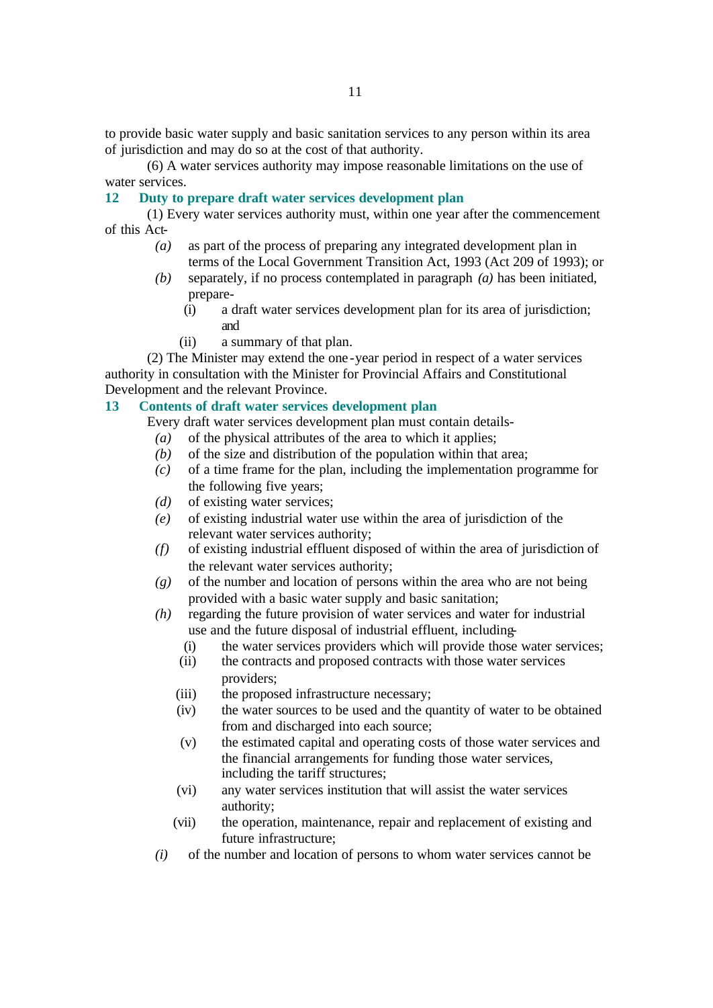to provide basic water supply and basic sanitation services to any person within its area of jurisdiction and may do so at the cost of that authority.

(6) A water services authority may impose reasonable limitations on the use of water services.

### **12 Duty to prepare draft water services development plan**

(1) Every water services authority must, within one year after the commencement of this Act-

- *(a)* as part of the process of preparing any integrated development plan in terms of the Local Government Transition Act, 1993 (Act 209 of 1993); or
- *(b)* separately, if no process contemplated in paragraph *(a)* has been initiated, prepare-
	- (i) a draft water services development plan for its area of jurisdiction; and
	- (ii) a summary of that plan.

(2) The Minister may extend the one -year period in respect of a water services authority in consultation with the Minister for Provincial Affairs and Constitutional Development and the relevant Province.

### **13 Contents of draft water services development plan**

Every draft water services development plan must contain details-

- *(a)* of the physical attributes of the area to which it applies;
- *(b)* of the size and distribution of the population within that area;
- *(c)* of a time frame for the plan, including the implementation programme for the following five years;
- *(d)* of existing water services;
- *(e)* of existing industrial water use within the area of jurisdiction of the relevant water services authority;
- *(f)* of existing industrial effluent disposed of within the area of jurisdiction of the relevant water services authority;
- *(g)* of the number and location of persons within the area who are not being provided with a basic water supply and basic sanitation;
- *(h)* regarding the future provision of water services and water for industrial use and the future disposal of industrial effluent, including-
	- (i) the water services providers which will provide those water services;
	- (ii) the contracts and proposed contracts with those water services providers;
	- (iii) the proposed infrastructure necessary;
	- (iv) the water sources to be used and the quantity of water to be obtained from and discharged into each source;
	- (v) the estimated capital and operating costs of those water services and the financial arrangements for funding those water services, including the tariff structures;
	- (vi) any water services institution that will assist the water services authority;
	- (vii) the operation, maintenance, repair and replacement of existing and future infrastructure;
- *(i)* of the number and location of persons to whom water services cannot be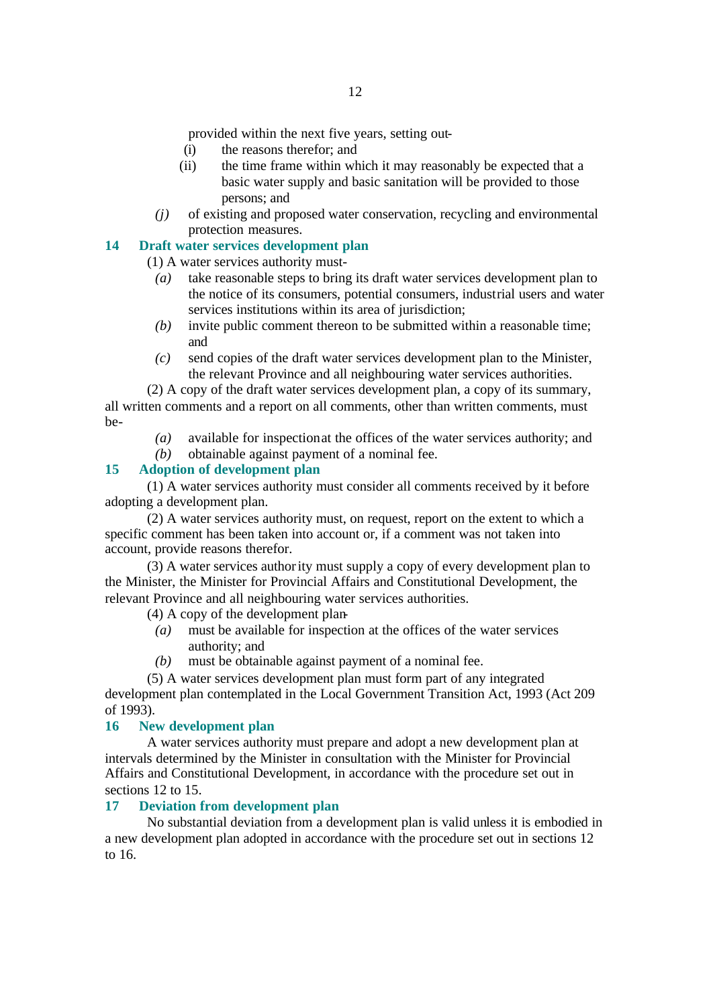provided within the next five years, setting out-

- (i) the reasons therefor; and
- (ii) the time frame within which it may reasonably be expected that a basic water supply and basic sanitation will be provided to those persons; and
- *(j)* of existing and proposed water conservation, recycling and environmental protection measures.

# **14 Draft water services development plan**

(1) A water services authority must-

- *(a)* take reasonable steps to bring its draft water services development plan to the notice of its consumers, potential consumers, industrial users and water services institutions within its area of jurisdiction;
- *(b)* invite public comment thereon to be submitted within a reasonable time; and
- *(c)* send copies of the draft water services development plan to the Minister, the relevant Province and all neighbouring water services authorities.

(2) A copy of the draft water services development plan, a copy of its summary, all written comments and a report on all comments, other than written comments, must be-

- *(a)* available for inspection at the offices of the water services authority; and
- *(b)* obtainable against payment of a nominal fee.

# **15 Adoption of development plan**

(1) A water services authority must consider all comments received by it before adopting a development plan.

(2) A water services authority must, on request, report on the extent to which a specific comment has been taken into account or, if a comment was not taken into account, provide reasons therefor.

(3) A water services authority must supply a copy of every development plan to the Minister, the Minister for Provincial Affairs and Constitutional Development, the relevant Province and all neighbouring water services authorities.

(4) A copy of the development plan-

- *(a)* must be available for inspection at the offices of the water services authority; and
- *(b)* must be obtainable against payment of a nominal fee.

(5) A water services development plan must form part of any integrated development plan contemplated in the Local Government Transition Act, 1993 (Act 209 of 1993).

### **16 New development plan**

A water services authority must prepare and adopt a new development plan at intervals determined by the Minister in consultation with the Minister for Provincial Affairs and Constitutional Development, in accordance with the procedure set out in sections 12 to 15.

# **17 Deviation from development plan**

No substantial deviation from a development plan is valid unless it is embodied in a new development plan adopted in accordance with the procedure set out in sections 12 to 16.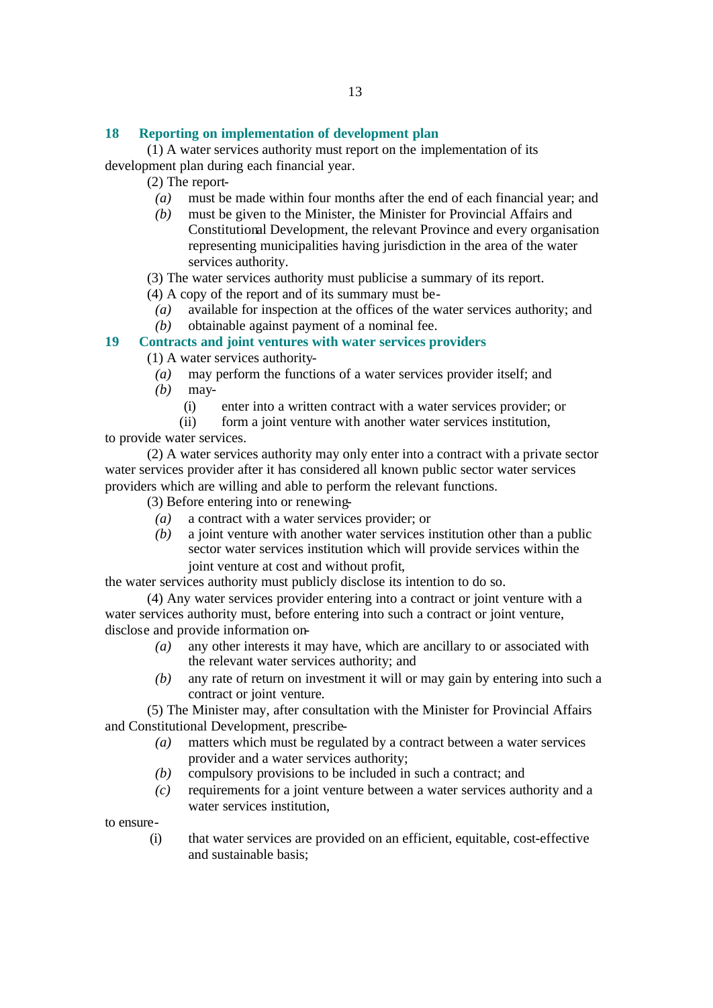# **18 Reporting on implementation of development plan**

(1) A water services authority must report on the implementation of its development plan during each financial year.

(2) The report-

- *(a)* must be made within four months after the end of each financial year; and
- *(b)* must be given to the Minister, the Minister for Provincial Affairs and Constitutional Development, the relevant Province and every organisation representing municipalities having jurisdiction in the area of the water services authority.
- (3) The water services authority must publicise a summary of its report.
- (4) A copy of the report and of its summary must be-
	- *(a)* available for inspection at the offices of the water services authority; and
	- *(b)* obtainable against payment of a nominal fee.

# **19 Contracts and joint ventures with water services providers**

(1) A water services authority-

- *(a)* may perform the functions of a water services provider itself; and
- *(b)* may-
	- (i) enter into a written contract with a water services provider; or
	- (ii) form a joint venture with another water services institution,

to provide water services.

(2) A water services authority may only enter into a contract with a private sector water services provider after it has considered all known public sector water services providers which are willing and able to perform the relevant functions.

(3) Before entering into or renewing-

- *(a)* a contract with a water services provider; or
- *(b)* a joint venture with another water services institution other than a public sector water services institution which will provide services within the joint venture at cost and without profit,

the water services authority must publicly disclose its intention to do so.

(4) Any water services provider entering into a contract or joint venture with a water services authority must, before entering into such a contract or joint venture, disclose and provide information on-

- *(a)* any other interests it may have, which are ancillary to or associated with the relevant water services authority; and
- *(b)* any rate of return on investment it will or may gain by entering into such a contract or joint venture.

(5) The Minister may, after consultation with the Minister for Provincial Affairs and Constitutional Development, prescribe-

- *(a)* matters which must be regulated by a contract between a water services provider and a water services authority;
- *(b)* compulsory provisions to be included in such a contract; and
- *(c)* requirements for a joint venture between a water services authority and a water services institution,

to ensure-

(i) that water services are provided on an efficient, equitable, cost-effective and sustainable basis;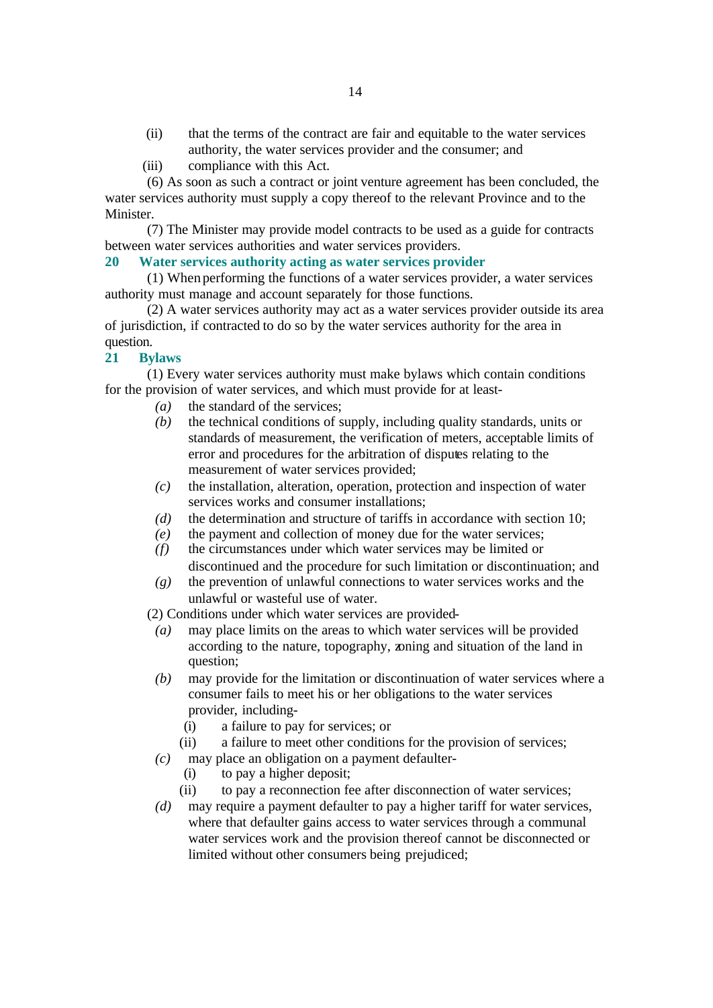- (ii) that the terms of the contract are fair and equitable to the water services authority, the water services provider and the consumer; and
- (iii) compliance with this Act.

(6) As soon as such a contract or joint venture agreement has been concluded, the water services authority must supply a copy thereof to the relevant Province and to the Minister.

(7) The Minister may provide model contracts to be used as a guide for contracts between water services authorities and water services providers.

# **20 Water services authority acting as water services provider**

(1) When performing the functions of a water services provider, a water services authority must manage and account separately for those functions.

(2) A water services authority may act as a water services provider outside its area of jurisdiction, if contracted to do so by the water services authority for the area in question.

# **21 Bylaws**

(1) Every water services authority must make bylaws which contain conditions for the provision of water services, and which must provide for at least-

- *(a)* the standard of the services;
- *(b)* the technical conditions of supply, including quality standards, units or standards of measurement, the verification of meters, acceptable limits of error and procedures for the arbitration of disputes relating to the measurement of water services provided;
- *(c)* the installation, alteration, operation, protection and inspection of water services works and consumer installations;
- *(d)* the determination and structure of tariffs in accordance with section 10;
- *(e)* the payment and collection of money due for the water services;
- *(f)* the circumstances under which water services may be limited or discontinued and the procedure for such limitation or discontinuation; and
- *(g)* the prevention of unlawful connections to water services works and the unlawful or wasteful use of water.

(2) Conditions under which water services are provided-

- *(a)* may place limits on the areas to which water services will be provided according to the nature, topography, zoning and situation of the land in question;
- *(b)* may provide for the limitation or discontinuation of water services where a consumer fails to meet his or her obligations to the water services provider, including-
	- (i) a failure to pay for services; or
	- (ii) a failure to meet other conditions for the provision of services;
- *(c)* may place an obligation on a payment defaulter-
	- (i) to pay a higher deposit;
	- (ii) to pay a reconnection fee after disconnection of water services;
- *(d)* may require a payment defaulter to pay a higher tariff for water services, where that defaulter gains access to water services through a communal water services work and the provision thereof cannot be disconnected or limited without other consumers being prejudiced;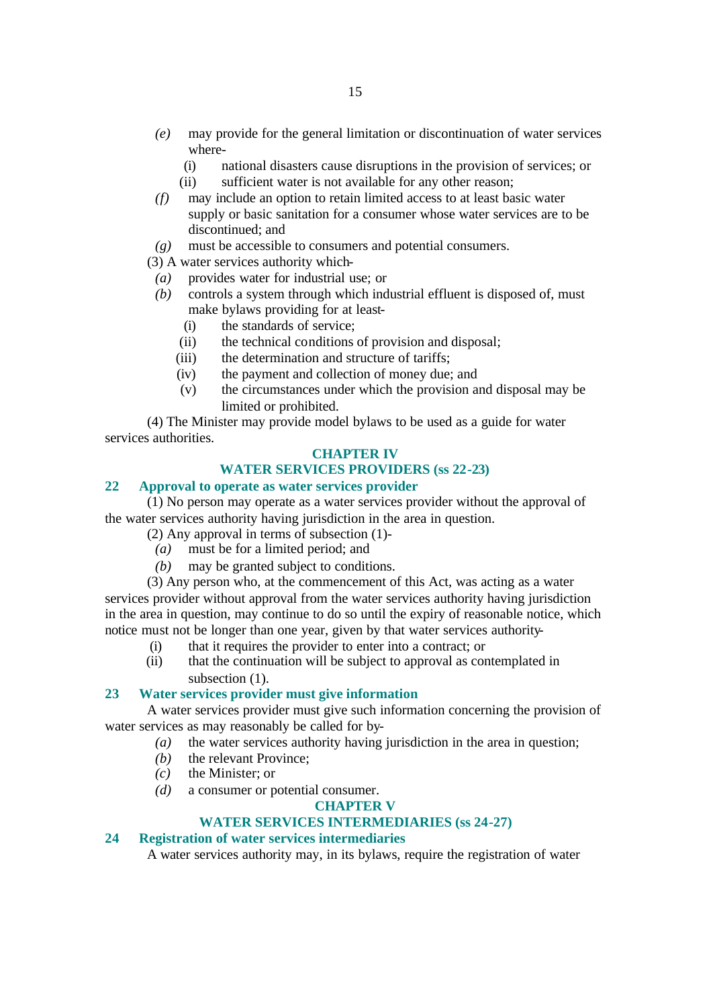- *(e)* may provide for the general limitation or discontinuation of water services where-
	- (i) national disasters cause disruptions in the provision of services; or
	- (ii) sufficient water is not available for any other reason;
- *(f)* may include an option to retain limited access to at least basic water supply or basic sanitation for a consumer whose water services are to be discontinued; and
- *(g)* must be accessible to consumers and potential consumers.
- (3) A water services authority which-
- *(a)* provides water for industrial use; or
- *(b)* controls a system through which industrial effluent is disposed of, must make bylaws providing for at least-
	- (i) the standards of service;
	- (ii) the technical conditions of provision and disposal;
	- (iii) the determination and structure of tariffs;
	- (iv) the payment and collection of money due; and
	- (v) the circumstances under which the provision and disposal may be limited or prohibited.

(4) The Minister may provide model bylaws to be used as a guide for water services authorities.

# **CHAPTER IV**

# **WATER SERVICES PROVIDERS (ss 22-23)**

# **22 Approval to operate as water services provider**

(1) No person may operate as a water services provider without the approval of the water services authority having jurisdiction in the area in question.

(2) Any approval in terms of subsection (1)-

- *(a)* must be for a limited period; and
- *(b)* may be granted subject to conditions.

(3) Any person who, at the commencement of this Act, was acting as a water services provider without approval from the water services authority having jurisdiction in the area in question, may continue to do so until the expiry of reasonable notice, which notice must not be longer than one year, given by that water services authority-

- (i) that it requires the provider to enter into a contract; or
- (ii) that the continuation will be subject to approval as contemplated in subsection  $(1)$ .

# **23 Water services provider must give information**

A water services provider must give such information concerning the provision of water services as may reasonably be called for by-

- *(a)* the water services authority having jurisdiction in the area in question;
- *(b)* the relevant Province;
- *(c)* the Minister; or
- *(d)* a consumer or potential consumer.

# **CHAPTER V**

# **WATER SERVICES INTERMEDIARIES (ss 24-27)**

# **24 Registration of water services intermediaries**

A water services authority may, in its bylaws, require the registration of water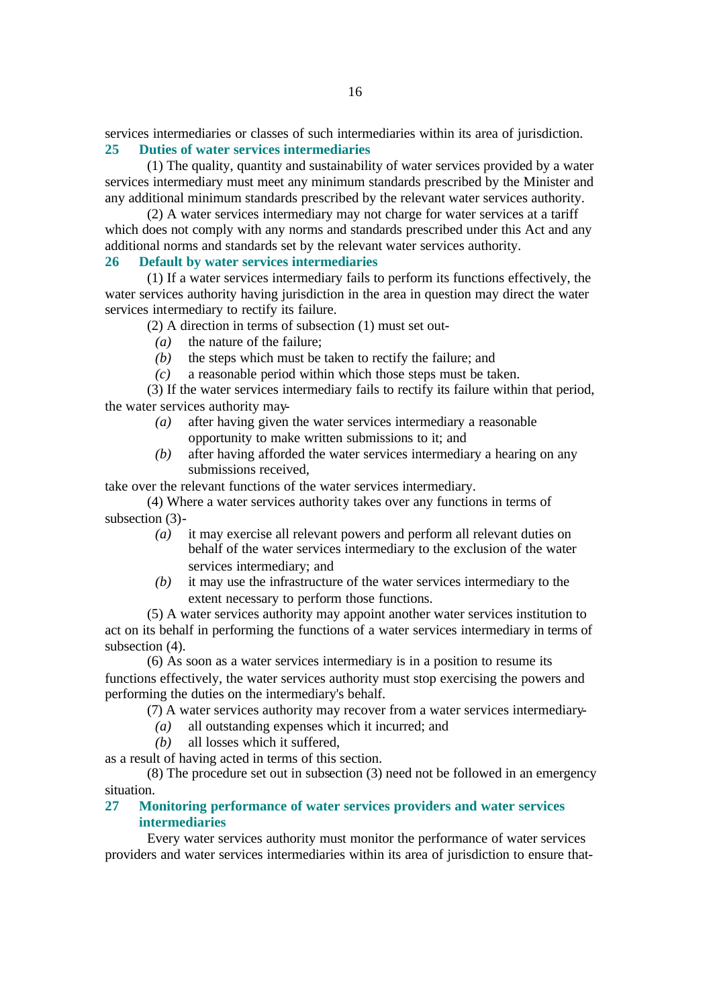services intermediaries or classes of such intermediaries within its area of jurisdiction. **25 Duties of water services intermediaries**

(1) The quality, quantity and sustainability of water services provided by a water services intermediary must meet any minimum standards prescribed by the Minister and any additional minimum standards prescribed by the relevant water services authority.

(2) A water services intermediary may not charge for water services at a tariff which does not comply with any norms and standards prescribed under this Act and any additional norms and standards set by the relevant water services authority.

#### **26 Default by water services intermediaries**

(1) If a water services intermediary fails to perform its functions effectively, the water services authority having jurisdiction in the area in question may direct the water services intermediary to rectify its failure.

(2) A direction in terms of subsection (1) must set out-

- *(a)* the nature of the failure;
- *(b)* the steps which must be taken to rectify the failure; and
- *(c)* a reasonable period within which those steps must be taken.

(3) If the water services intermediary fails to rectify its failure within that period, the water services authority may-

- *(a)* after having given the water services intermediary a reasonable opportunity to make written submissions to it; and
- *(b)* after having afforded the water services intermediary a hearing on any submissions received,

take over the relevant functions of the water services intermediary.

(4) Where a water services authority takes over any functions in terms of subsection (3)-

- *(a)* it may exercise all relevant powers and perform all relevant duties on behalf of the water services intermediary to the exclusion of the water services intermediary; and
- *(b)* it may use the infrastructure of the water services intermediary to the extent necessary to perform those functions.

(5) A water services authority may appoint another water services institution to act on its behalf in performing the functions of a water services intermediary in terms of subsection (4).

(6) As soon as a water services intermediary is in a position to resume its functions effectively, the water services authority must stop exercising the powers and performing the duties on the intermediary's behalf.

(7) A water services authority may recover from a water services intermediary-

*(a)* all outstanding expenses which it incurred; and

*(b)* all losses which it suffered,

as a result of having acted in terms of this section.

(8) The procedure set out in subsection (3) need not be followed in an emergency situation.

# **27 Monitoring performance of water services providers and water services intermediaries**

Every water services authority must monitor the performance of water services providers and water services intermediaries within its area of jurisdiction to ensure that-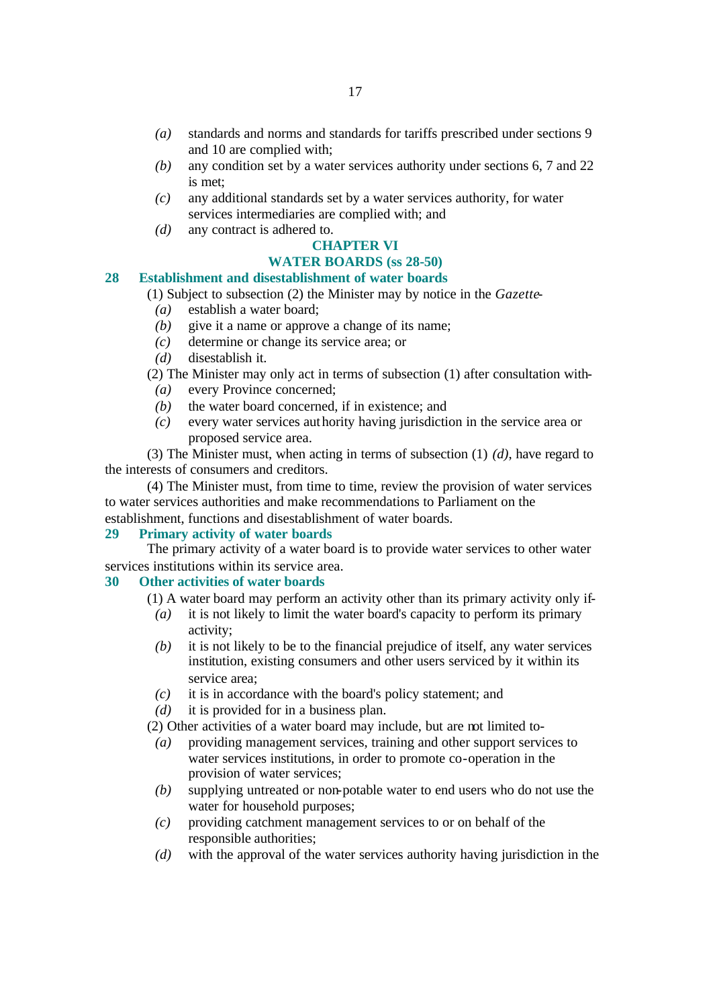- *(a)* standards and norms and standards for tariffs prescribed under sections 9 and 10 are complied with;
- *(b)* any condition set by a water services authority under sections 6, 7 and 22 is met;
- *(c)* any additional standards set by a water services authority, for water services intermediaries are complied with; and
- *(d)* any contract is adhered to.

# **CHAPTER VI**

# **WATER BOARDS (ss 28-50)**

# **28 Establishment and disestablishment of water boards**

(1) Subject to subsection (2) the Minister may by notice in the *Gazette*-

- *(a)* establish a water board;
- *(b)* give it a name or approve a change of its name;
- *(c)* determine or change its service area; or
- *(d)* disestablish it.

(2) The Minister may only act in terms of subsection (1) after consultation with-

- *(a)* every Province concerned;
- *(b)* the water board concerned, if in existence; and
- *(c)* every water services authority having jurisdiction in the service area or proposed service area.

(3) The Minister must, when acting in terms of subsection (1) *(d)*, have regard to the interests of consumers and creditors.

(4) The Minister must, from time to time, review the provision of water services to water services authorities and make recommendations to Parliament on the establishment, functions and disestablishment of water boards.

#### **29 Primary activity of water boards**

The primary activity of a water board is to provide water services to other water services institutions within its service area.

# **30 Other activities of water boards**

- (1) A water board may perform an activity other than its primary activity only if-
	- *(a)* it is not likely to limit the water board's capacity to perform its primary activity;
	- *(b)* it is not likely to be to the financial prejudice of itself, any water services institution, existing consumers and other users serviced by it within its service area;
	- *(c)* it is in accordance with the board's policy statement; and

*(d)* it is provided for in a business plan.

(2) Other activities of a water board may include, but are not limited to-

- *(a)* providing management services, training and other support services to water services institutions, in order to promote co-operation in the provision of water services;
- *(b)* supplying untreated or non-potable water to end users who do not use the water for household purposes;
- *(c)* providing catchment management services to or on behalf of the responsible authorities;
- *(d)* with the approval of the water services authority having jurisdiction in the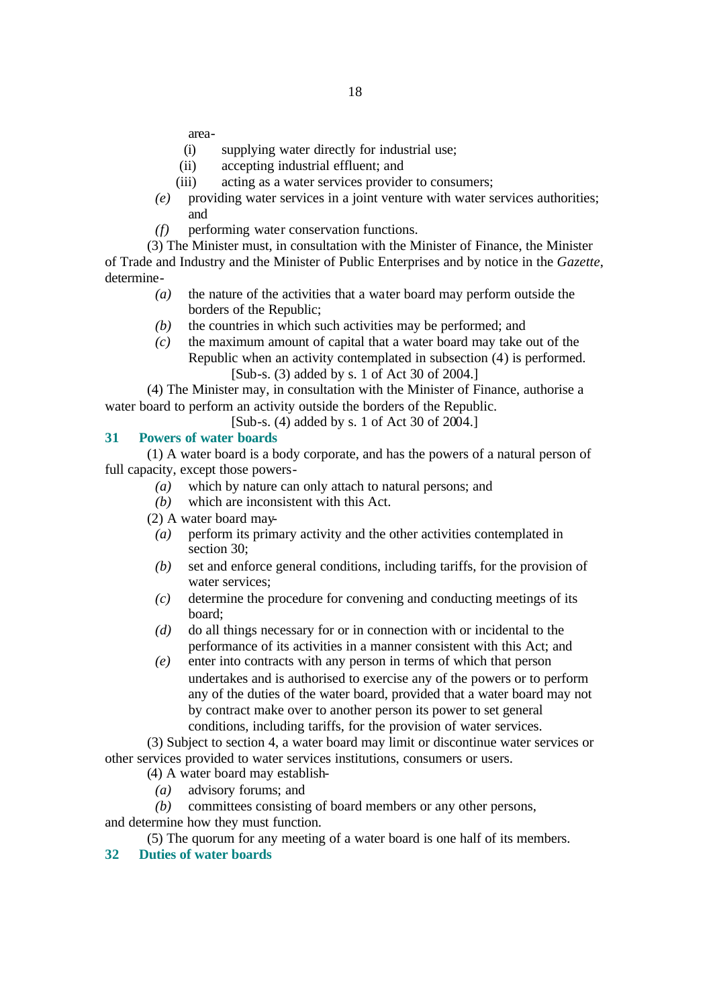area-

- (i) supplying water directly for industrial use;
- (ii) accepting industrial effluent; and
- (iii) acting as a water services provider to consumers;
- *(e)* providing water services in a joint venture with water services authorities; and
- *(f)* performing water conservation functions.
- (3) The Minister must, in consultation with the Minister of Finance, the Minister

of Trade and Industry and the Minister of Public Enterprises and by notice in the *Gazette*, determine-

- *(a)* the nature of the activities that a water board may perform outside the borders of the Republic;
- *(b)* the countries in which such activities may be performed; and
- *(c)* the maximum amount of capital that a water board may take out of the Republic when an activity contemplated in subsection (4) is performed. [Sub-s. (3) added by s. 1 of Act 30 of 2004.]

(4) The Minister may, in consultation with the Minister of Finance, authorise a water board to perform an activity outside the borders of the Republic.

[Sub-s. (4) added by s. 1 of Act 30 of 2004.]

# **31 Powers of water boards**

(1) A water board is a body corporate, and has the powers of a natural person of full capacity, except those powers-

- *(a)* which by nature can only attach to natural persons; and
- *(b)* which are inconsistent with this Act.
- (2) A water board may-
- *(a)* perform its primary activity and the other activities contemplated in section 30;
- *(b)* set and enforce general conditions, including tariffs, for the provision of water services;
- *(c)* determine the procedure for convening and conducting meetings of its board;
- *(d)* do all things necessary for or in connection with or incidental to the performance of its activities in a manner consistent with this Act; and
- *(e)* enter into contracts with any person in terms of which that person undertakes and is authorised to exercise any of the powers or to perform any of the duties of the water board, provided that a water board may not by contract make over to another person its power to set general conditions, including tariffs, for the provision of water services.

(3) Subject to section 4, a water board may limit or discontinue water services or other services provided to water services institutions, consumers or users.

- (4) A water board may establish-
	- *(a)* advisory forums; and

*(b)* committees consisting of board members or any other persons, and determine how they must function.

(5) The quorum for any meeting of a water board is one half of its members.

**32 Duties of water boards**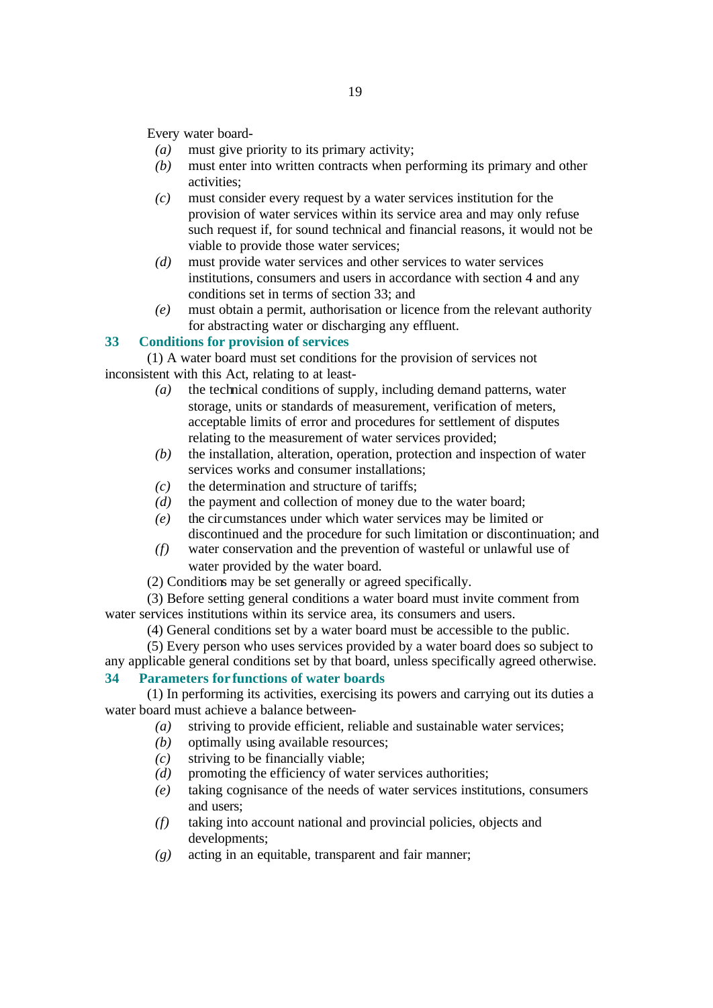Every water board-

- *(a)* must give priority to its primary activity;
- *(b)* must enter into written contracts when performing its primary and other activities;
- *(c)* must consider every request by a water services institution for the provision of water services within its service area and may only refuse such request if, for sound technical and financial reasons, it would not be viable to provide those water services;
- *(d)* must provide water services and other services to water services institutions, consumers and users in accordance with section 4 and any conditions set in terms of section 33; and
- *(e)* must obtain a permit, authorisation or licence from the relevant authority for abstracting water or discharging any effluent.

# **33 Conditions for provision of services**

(1) A water board must set conditions for the provision of services not inconsistent with this Act, relating to at least-

- *(a)* the technical conditions of supply, including demand patterns, water storage, units or standards of measurement, verification of meters, acceptable limits of error and procedures for settlement of disputes relating to the measurement of water services provided;
- *(b)* the installation, alteration, operation, protection and inspection of water services works and consumer installations;
- *(c)* the determination and structure of tariffs;
- *(d)* the payment and collection of money due to the water board;
- *(e)* the circumstances under which water services may be limited or discontinued and the procedure for such limitation or discontinuation; and
- *(f)* water conservation and the prevention of wasteful or unlawful use of water provided by the water board.
- (2) Conditions may be set generally or agreed specifically.

(3) Before setting general conditions a water board must invite comment from water services institutions within its service area, its consumers and users.

(4) General conditions set by a water board must be accessible to the public.

(5) Every person who uses services provided by a water board does so subject to any applicable general conditions set by that board, unless specifically agreed otherwise.

# **34 Parameters for functions of water boards**

(1) In performing its activities, exercising its powers and carrying out its duties a water board must achieve a balance between-

- *(a)* striving to provide efficient, reliable and sustainable water services;
- *(b)* optimally using available resources;
- *(c)* striving to be financially viable;
- *(d)* promoting the efficiency of water services authorities;
- *(e)* taking cognisance of the needs of water services institutions, consumers and users;
- *(f)* taking into account national and provincial policies, objects and developments;
- *(g)* acting in an equitable, transparent and fair manner;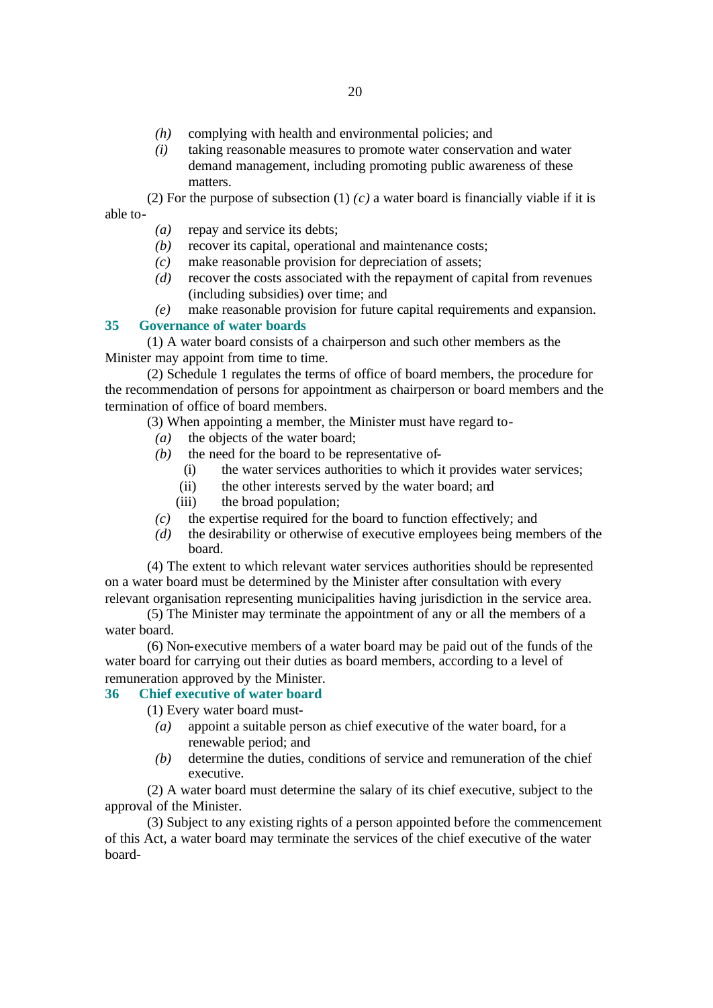- *(h)* complying with health and environmental policies; and
- *(i)* taking reasonable measures to promote water conservation and water demand management, including promoting public awareness of these matters.

(2) For the purpose of subsection (1) *(c)* a water board is financially viable if it is able to-

- *(a)* repay and service its debts;
- *(b)* recover its capital, operational and maintenance costs;
- *(c)* make reasonable provision for depreciation of assets;
- *(d)* recover the costs associated with the repayment of capital from revenues (including subsidies) over time; and
- *(e)* make reasonable provision for future capital requirements and expansion.

#### **35 Governance of water boards**

(1) A water board consists of a chairperson and such other members as the Minister may appoint from time to time.

(2) Schedule 1 regulates the terms of office of board members, the procedure for the recommendation of persons for appointment as chairperson or board members and the termination of office of board members.

(3) When appointing a member, the Minister must have regard to-

- *(a)* the objects of the water board;
- *(b)* the need for the board to be representative of-
	- (i) the water services authorities to which it provides water services;
	- (ii) the other interests served by the water board; and
	- (iii) the broad population;
- *(c)* the expertise required for the board to function effectively; and
- *(d)* the desirability or otherwise of executive employees being members of the board.

(4) The extent to which relevant water services authorities should be represented on a water board must be determined by the Minister after consultation with every relevant organisation representing municipalities having jurisdiction in the service area.

(5) The Minister may terminate the appointment of any or all the members of a water board.

(6) Non-executive members of a water board may be paid out of the funds of the water board for carrying out their duties as board members, according to a level of remuneration approved by the Minister.

# **36 Chief executive of water board**

(1) Every water board must-

- *(a)* appoint a suitable person as chief executive of the water board, for a renewable period; and
- *(b)* determine the duties, conditions of service and remuneration of the chief executive.

(2) A water board must determine the salary of its chief executive, subject to the approval of the Minister.

(3) Subject to any existing rights of a person appointed before the commencement of this Act, a water board may terminate the services of the chief executive of the water board-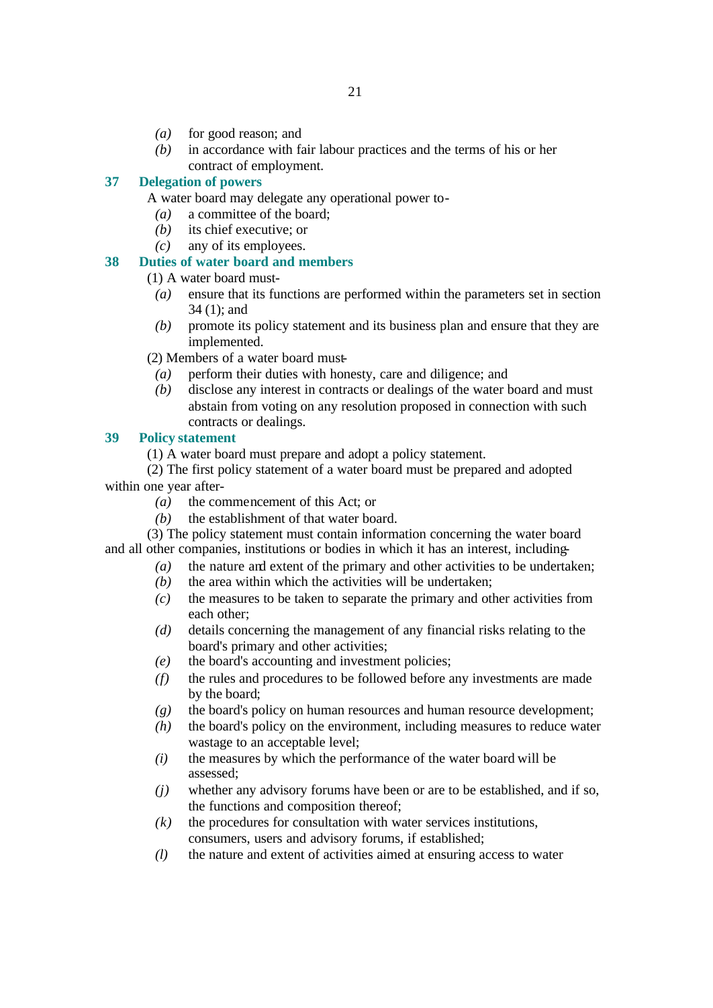- *(a)* for good reason; and
- *(b)* in accordance with fair labour practices and the terms of his or her contract of employment.

# **37 Delegation of powers**

A water board may delegate any operational power to-

- *(a)* a committee of the board;
- *(b)* its chief executive; or
- *(c)* any of its employees.

# **38 Duties of water board and members**

(1) A water board must-

- *(a)* ensure that its functions are performed within the parameters set in section 34 (1); and
- *(b)* promote its policy statement and its business plan and ensure that they are implemented.

(2) Members of a water board must-

- *(a)* perform their duties with honesty, care and diligence; and
- *(b)* disclose any interest in contracts or dealings of the water board and must abstain from voting on any resolution proposed in connection with such contracts or dealings.

# **39 Policy statement**

(1) A water board must prepare and adopt a policy statement.

(2) The first policy statement of a water board must be prepared and adopted within one year after-

- *(a)* the commencement of this Act; or
- *(b)* the establishment of that water board.

(3) The policy statement must contain information concerning the water board and all other companies, institutions or bodies in which it has an interest, including-

- *(a)* the nature and extent of the primary and other activities to be undertaken;
- *(b)* the area within which the activities will be undertaken;
- *(c)* the measures to be taken to separate the primary and other activities from each other;
- *(d)* details concerning the management of any financial risks relating to the board's primary and other activities;
- *(e)* the board's accounting and investment policies;
- *(f)* the rules and procedures to be followed before any investments are made by the board;
- *(g)* the board's policy on human resources and human resource development;
- *(h)* the board's policy on the environment, including measures to reduce water wastage to an acceptable level;
- *(i)* the measures by which the performance of the water board will be assessed;
- *(j)* whether any advisory forums have been or are to be established, and if so, the functions and composition thereof;
- *(k)* the procedures for consultation with water services institutions, consumers, users and advisory forums, if established;
- *(l)* the nature and extent of activities aimed at ensuring access to water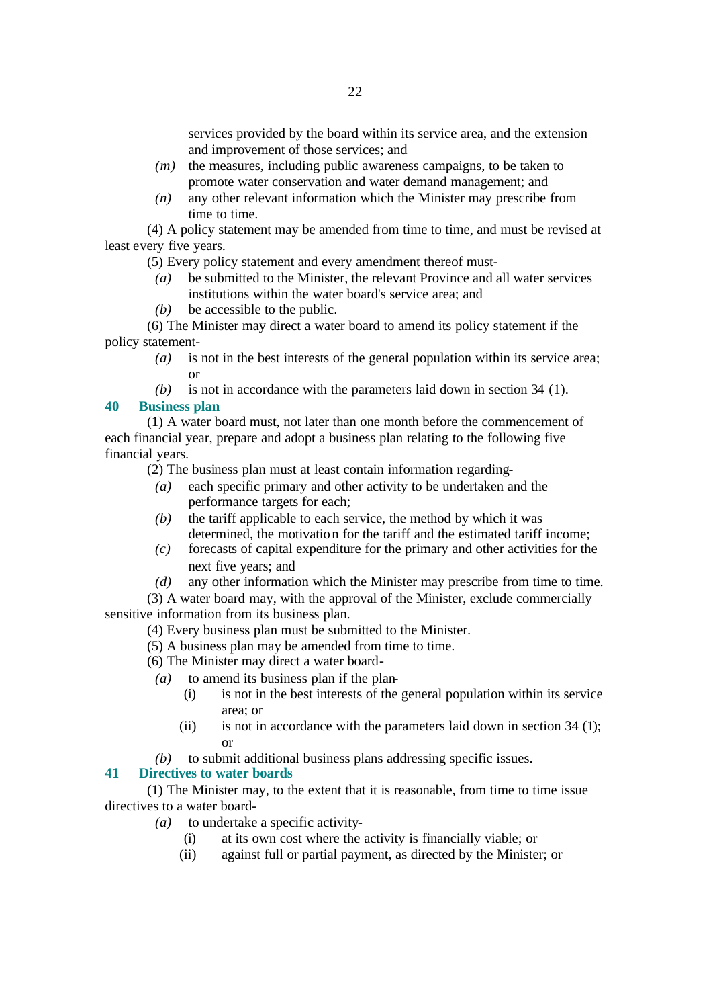services provided by the board within its service area, and the extension and improvement of those services; and

- *(m)* the measures, including public awareness campaigns, to be taken to promote water conservation and water demand management; and
- *(n)* any other relevant information which the Minister may prescribe from time to time.

(4) A policy statement may be amended from time to time, and must be revised at least every five years.

(5) Every policy statement and every amendment thereof must-

- *(a)* be submitted to the Minister, the relevant Province and all water services institutions within the water board's service area; and
- *(b)* be accessible to the public.

(6) The Minister may direct a water board to amend its policy statement if the policy statement-

- *(a)* is not in the best interests of the general population within its service area; or
- *(b)* is not in accordance with the parameters laid down in section 34 (1).

# **40 Business plan**

(1) A water board must, not later than one month before the commencement of each financial year, prepare and adopt a business plan relating to the following five financial years.

(2) The business plan must at least contain information regarding-

- *(a)* each specific primary and other activity to be undertaken and the performance targets for each;
- *(b)* the tariff applicable to each service, the method by which it was determined, the motivation for the tariff and the estimated tariff income;
- *(c)* forecasts of capital expenditure for the primary and other activities for the next five years; and
- *(d)* any other information which the Minister may prescribe from time to time.

(3) A water board may, with the approval of the Minister, exclude commercially sensitive information from its business plan.

(4) Every business plan must be submitted to the Minister.

- (5) A business plan may be amended from time to time.
- (6) The Minister may direct a water board-
- *(a)* to amend its business plan if the plan-
	- (i) is not in the best interests of the general population within its service area; or
	- (ii) is not in accordance with the parameters laid down in section  $34$  (1); or
- *(b)* to submit additional business plans addressing specific issues.

# **41 Directives to water boards**

(1) The Minister may, to the extent that it is reasonable, from time to time issue directives to a water board-

- *(a)* to undertake a specific activity-
	- (i) at its own cost where the activity is financially viable; or
	- (ii) against full or partial payment, as directed by the Minister; or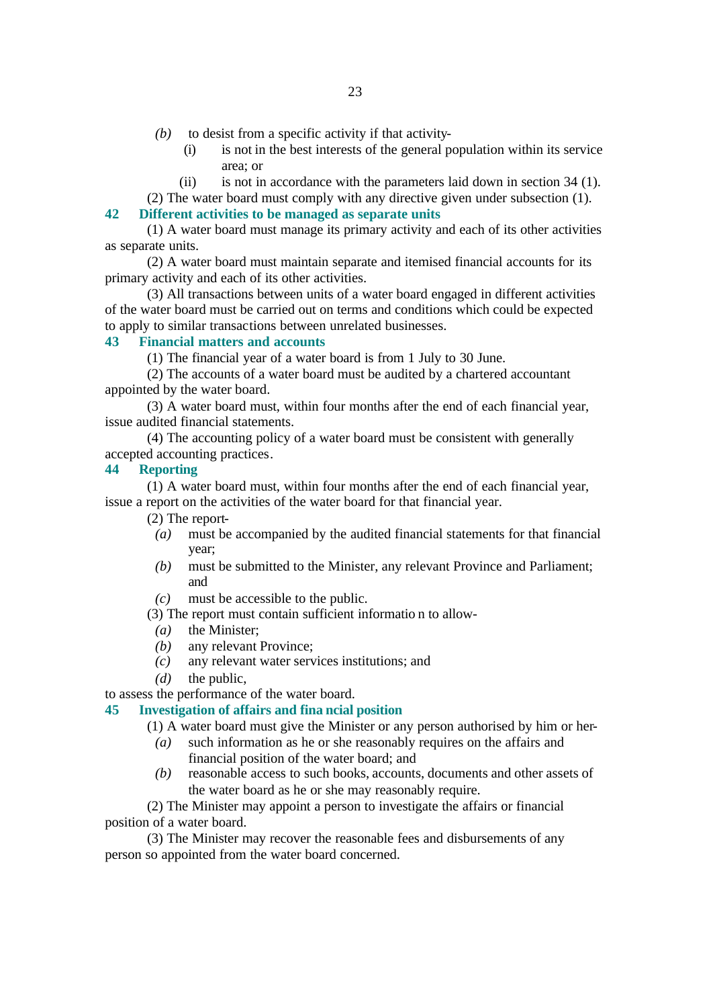- *(b)* to desist from a specific activity if that activity-
	- (i) is not in the best interests of the general population within its service area; or
	- (ii) is not in accordance with the parameters laid down in section 34 (1).
- (2) The water board must comply with any directive given under subsection (1).

# **42 Different activities to be managed as separate units**

(1) A water board must manage its primary activity and each of its other activities as separate units.

(2) A water board must maintain separate and itemised financial accounts for its primary activity and each of its other activities.

(3) All transactions between units of a water board engaged in different activities of the water board must be carried out on terms and conditions which could be expected to apply to similar transactions between unrelated businesses.

#### **43 Financial matters and accounts**

(1) The financial year of a water board is from 1 July to 30 June.

(2) The accounts of a water board must be audited by a chartered accountant appointed by the water board.

(3) A water board must, within four months after the end of each financial year, issue audited financial statements.

(4) The accounting policy of a water board must be consistent with generally accepted accounting practices.

### **44 Reporting**

(1) A water board must, within four months after the end of each financial year, issue a report on the activities of the water board for that financial year.

(2) The report-

- *(a)* must be accompanied by the audited financial statements for that financial year;
- *(b)* must be submitted to the Minister, any relevant Province and Parliament; and
- *(c)* must be accessible to the public.

(3) The report must contain sufficient informatio n to allow-

- *(a)* the Minister;
- *(b)* any relevant Province;
- *(c)* any relevant water services institutions; and
- *(d)* the public,

to assess the performance of the water board.

# **45 Investigation of affairs and fina ncial position**

- (1) A water board must give the Minister or any person authorised by him or her-
- *(a)* such information as he or she reasonably requires on the affairs and financial position of the water board; and
- *(b)* reasonable access to such books, accounts, documents and other assets of the water board as he or she may reasonably require.

(2) The Minister may appoint a person to investigate the affairs or financial position of a water board.

(3) The Minister may recover the reasonable fees and disbursements of any person so appointed from the water board concerned.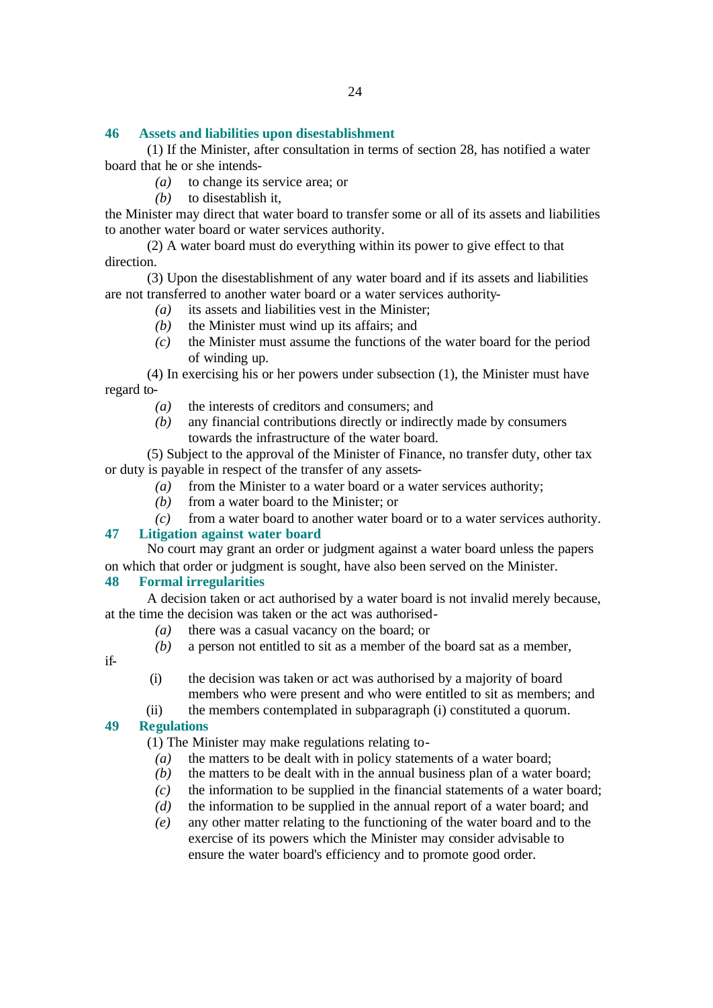### **46 Assets and liabilities upon disestablishment**

(1) If the Minister, after consultation in terms of section 28, has notified a water board that he or she intends-

- *(a)* to change its service area; or
- *(b)* to disestablish it,

the Minister may direct that water board to transfer some or all of its assets and liabilities to another water board or water services authority.

(2) A water board must do everything within its power to give effect to that direction.

(3) Upon the disestablishment of any water board and if its assets and liabilities are not transferred to another water board or a water services authority-

- *(a)* its assets and liabilities vest in the Minister;
- *(b)* the Minister must wind up its affairs; and
- *(c)* the Minister must assume the functions of the water board for the period of winding up.

(4) In exercising his or her powers under subsection (1), the Minister must have regard to-

- *(a)* the interests of creditors and consumers; and
- *(b)* any financial contributions directly or indirectly made by consumers towards the infrastructure of the water board.

(5) Subject to the approval of the Minister of Finance, no transfer duty, other tax or duty is payable in respect of the transfer of any assets-

- *(a)* from the Minister to a water board or a water services authority;
- *(b)* from a water board to the Minister; or
- *(c)* from a water board to another water board or to a water services authority.

#### **47 Litigation against water board**

No court may grant an order or judgment against a water board unless the papers on which that order or judgment is sought, have also been served on the Minister.

### **48 Formal irregularities**

A decision taken or act authorised by a water board is not invalid merely because, at the time the decision was taken or the act was authorised-

- *(a)* there was a casual vacancy on the board; or
- *(b)* a person not entitled to sit as a member of the board sat as a member,

if-

(i) the decision was taken or act was authorised by a majority of board members who were present and who were entitled to sit as members; and

(ii) the members contemplated in subparagraph (i) constituted a quorum.

### **49 Regulations**

(1) The Minister may make regulations relating to-

- *(a)* the matters to be dealt with in policy statements of a water board;
- *(b)* the matters to be dealt with in the annual business plan of a water board;
- *(c)* the information to be supplied in the financial statements of a water board;
- *(d)* the information to be supplied in the annual report of a water board; and
- *(e)* any other matter relating to the functioning of the water board and to the exercise of its powers which the Minister may consider advisable to ensure the water board's efficiency and to promote good order.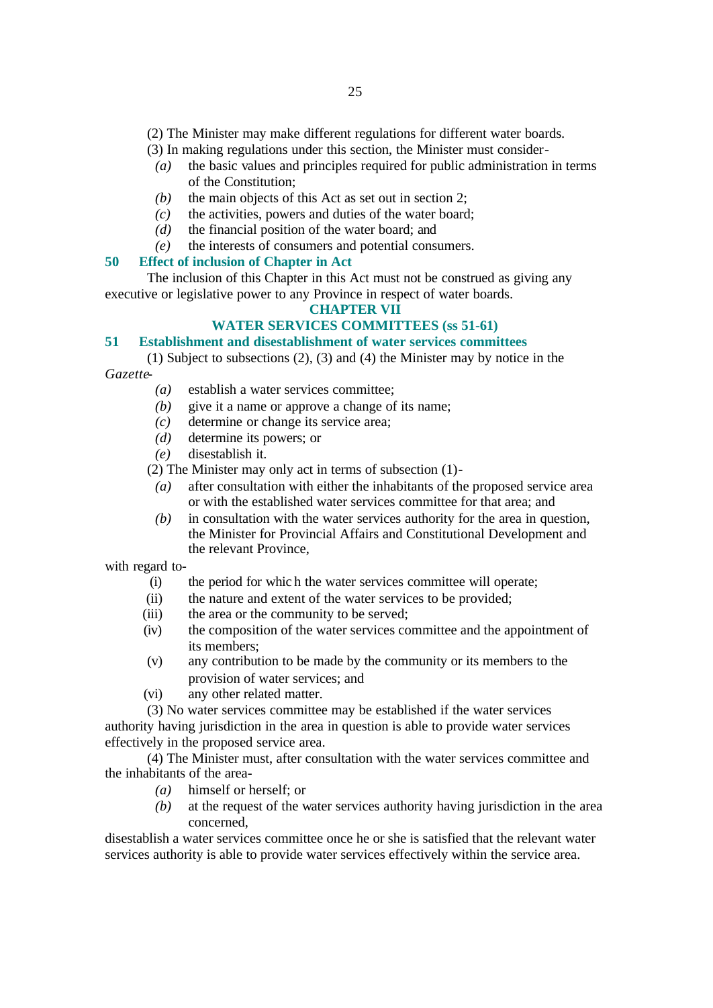(2) The Minister may make different regulations for different water boards.

- (3) In making regulations under this section, the Minister must consider-
- *(a)* the basic values and principles required for public administration in terms of the Constitution;
- *(b)* the main objects of this Act as set out in section 2;
- *(c)* the activities, powers and duties of the water board;
- *(d)* the financial position of the water board; and
- *(e)* the interests of consumers and potential consumers.

#### **50 Effect of inclusion of Chapter in Act**

The inclusion of this Chapter in this Act must not be construed as giving any executive or legislative power to any Province in respect of water boards.

#### **CHAPTER VII**

# **WATER SERVICES COMMITTEES (ss 51-61)**

# **51 Establishment and disestablishment of water services committees**

(1) Subject to subsections (2), (3) and (4) the Minister may by notice in the *Gazette*-

- *(a)* establish a water services committee;
- *(b)* give it a name or approve a change of its name;
- *(c)* determine or change its service area;
- *(d)* determine its powers; or
- *(e)* disestablish it.

(2) The Minister may only act in terms of subsection (1)-

- *(a)* after consultation with either the inhabitants of the proposed service area or with the established water services committee for that area; and
- *(b)* in consultation with the water services authority for the area in question, the Minister for Provincial Affairs and Constitutional Development and the relevant Province,

with regard to-

- (i) the period for whic h the water services committee will operate;
- (ii) the nature and extent of the water services to be provided;
- (iii) the area or the community to be served;
- (iv) the composition of the water services committee and the appointment of its members;
- (v) any contribution to be made by the community or its members to the provision of water services; and
- (vi) any other related matter.

(3) No water services committee may be established if the water services authority having jurisdiction in the area in question is able to provide water services effectively in the proposed service area.

(4) The Minister must, after consultation with the water services committee and the inhabitants of the area-

- *(a)* himself or herself; or
- *(b)* at the request of the water services authority having jurisdiction in the area concerned,

disestablish a water services committee once he or she is satisfied that the relevant water services authority is able to provide water services effectively within the service area.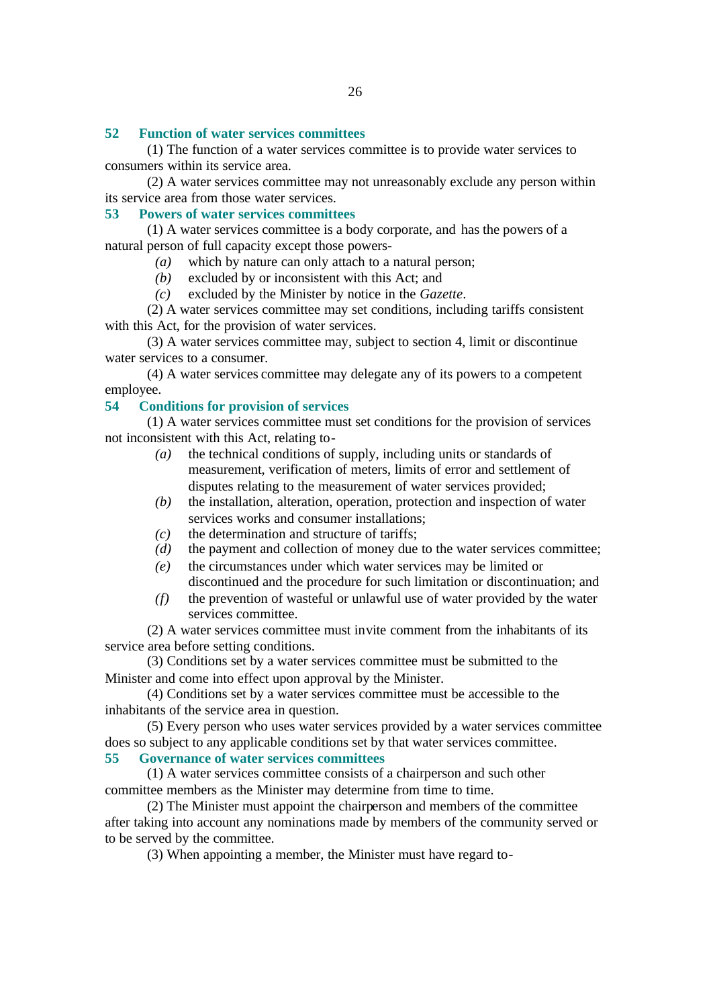### **52 Function of water services committees**

(1) The function of a water services committee is to provide water services to consumers within its service area.

(2) A water services committee may not unreasonably exclude any person within its service area from those water services.

### **53 Powers of water services committees**

(1) A water services committee is a body corporate, and has the powers of a natural person of full capacity except those powers-

- *(a)* which by nature can only attach to a natural person;
- *(b)* excluded by or inconsistent with this Act; and
- *(c)* excluded by the Minister by notice in the *Gazette*.

(2) A water services committee may set conditions, including tariffs consistent with this Act, for the provision of water services.

(3) A water services committee may, subject to section 4, limit or discontinue water services to a consumer.

(4) A water services committee may delegate any of its powers to a competent employee.

# **54 Conditions for provision of services**

(1) A water services committee must set conditions for the provision of services not inconsistent with this Act, relating to-

- *(a)* the technical conditions of supply, including units or standards of measurement, verification of meters, limits of error and settlement of disputes relating to the measurement of water services provided;
- *(b)* the installation, alteration, operation, protection and inspection of water services works and consumer installations;
- *(c)* the determination and structure of tariffs;
- *(d)* the payment and collection of money due to the water services committee;
- *(e)* the circumstances under which water services may be limited or discontinued and the procedure for such limitation or discontinuation; and
- *(f)* the prevention of wasteful or unlawful use of water provided by the water services committee.

(2) A water services committee must invite comment from the inhabitants of its service area before setting conditions.

(3) Conditions set by a water services committee must be submitted to the Minister and come into effect upon approval by the Minister.

(4) Conditions set by a water services committee must be accessible to the inhabitants of the service area in question.

(5) Every person who uses water services provided by a water services committee does so subject to any applicable conditions set by that water services committee.

**55 Governance of water services committees**

(1) A water services committee consists of a chairperson and such other committee members as the Minister may determine from time to time.

(2) The Minister must appoint the chairperson and members of the committee after taking into account any nominations made by members of the community served or to be served by the committee.

(3) When appointing a member, the Minister must have regard to-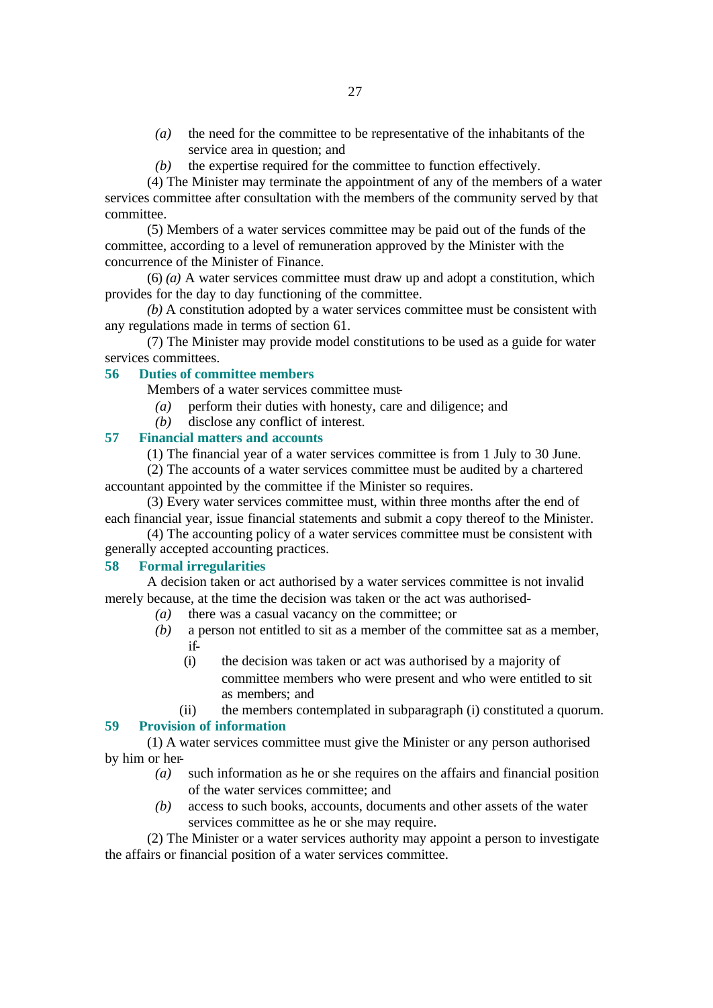- *(a)* the need for the committee to be representative of the inhabitants of the service area in question; and
- *(b)* the expertise required for the committee to function effectively.

(4) The Minister may terminate the appointment of any of the members of a water services committee after consultation with the members of the community served by that committee.

(5) Members of a water services committee may be paid out of the funds of the committee, according to a level of remuneration approved by the Minister with the concurrence of the Minister of Finance.

(6) *(a)* A water services committee must draw up and adopt a constitution, which provides for the day to day functioning of the committee.

*(b)* A constitution adopted by a water services committee must be consistent with any regulations made in terms of section 61.

(7) The Minister may provide model constitutions to be used as a guide for water services committees.

# **56 Duties of committee members**

Members of a water services committee must-

- *(a)* perform their duties with honesty, care and diligence; and
- *(b)* disclose any conflict of interest.

# **57 Financial matters and accounts**

(1) The financial year of a water services committee is from 1 July to 30 June.

(2) The accounts of a water services committee must be audited by a chartered accountant appointed by the committee if the Minister so requires.

(3) Every water services committee must, within three months after the end of each financial year, issue financial statements and submit a copy thereof to the Minister.

(4) The accounting policy of a water services committee must be consistent with generally accepted accounting practices.

### **58 Formal irregularities**

A decision taken or act authorised by a water services committee is not invalid merely because, at the time the decision was taken or the act was authorised-

- *(a)* there was a casual vacancy on the committee; or
- *(b)* a person not entitled to sit as a member of the committee sat as a member, if-
	- (i) the decision was taken or act was authorised by a majority of committee members who were present and who were entitled to sit as members; and
- (ii) the members contemplated in subparagraph (i) constituted a quorum.

# **59 Provision of information**

(1) A water services committee must give the Minister or any person authorised by him or her-

- *(a)* such information as he or she requires on the affairs and financial position of the water services committee; and
- *(b)* access to such books, accounts, documents and other assets of the water services committee as he or she may require.

(2) The Minister or a water services authority may appoint a person to investigate the affairs or financial position of a water services committee.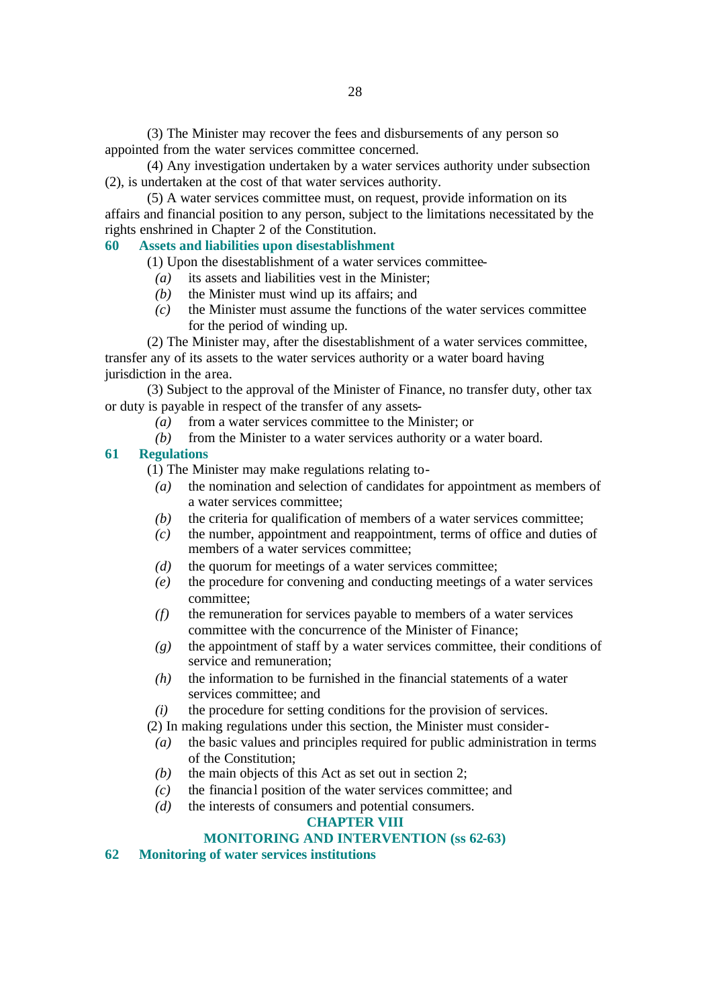(3) The Minister may recover the fees and disbursements of any person so appointed from the water services committee concerned.

(4) Any investigation undertaken by a water services authority under subsection (2), is undertaken at the cost of that water services authority.

(5) A water services committee must, on request, provide information on its affairs and financial position to any person, subject to the limitations necessitated by the rights enshrined in Chapter 2 of the Constitution.

# **60 Assets and liabilities upon disestablishment**

(1) Upon the disestablishment of a water services committee-

- *(a)* its assets and liabilities vest in the Minister;
- *(b)* the Minister must wind up its affairs; and
- *(c)* the Minister must assume the functions of the water services committee for the period of winding up.

(2) The Minister may, after the disestablishment of a water services committee, transfer any of its assets to the water services authority or a water board having jurisdiction in the area.

(3) Subject to the approval of the Minister of Finance, no transfer duty, other tax or duty is payable in respect of the transfer of any assets-

- *(a)* from a water services committee to the Minister; or
- *(b)* from the Minister to a water services authority or a water board.

### **61 Regulations**

(1) The Minister may make regulations relating to-

- *(a)* the nomination and selection of candidates for appointment as members of a water services committee;
- *(b)* the criteria for qualification of members of a water services committee;
- *(c)* the number, appointment and reappointment, terms of office and duties of members of a water services committee;
- *(d)* the quorum for meetings of a water services committee;
- *(e)* the procedure for convening and conducting meetings of a water services committee;
- *(f)* the remuneration for services payable to members of a water services committee with the concurrence of the Minister of Finance;
- *(g)* the appointment of staff by a water services committee, their conditions of service and remuneration;
- *(h)* the information to be furnished in the financial statements of a water services committee; and

*(i)* the procedure for setting conditions for the provision of services.

(2) In making regulations under this section, the Minister must consider-

- *(a)* the basic values and principles required for public administration in terms of the Constitution;
- *(b)* the main objects of this Act as set out in section 2;
- *(c)* the financia l position of the water services committee; and
- *(d)* the interests of consumers and potential consumers.

# **CHAPTER VIII**

# **MONITORING AND INTERVENTION (ss 62-63)**

**62 Monitoring of water services institutions**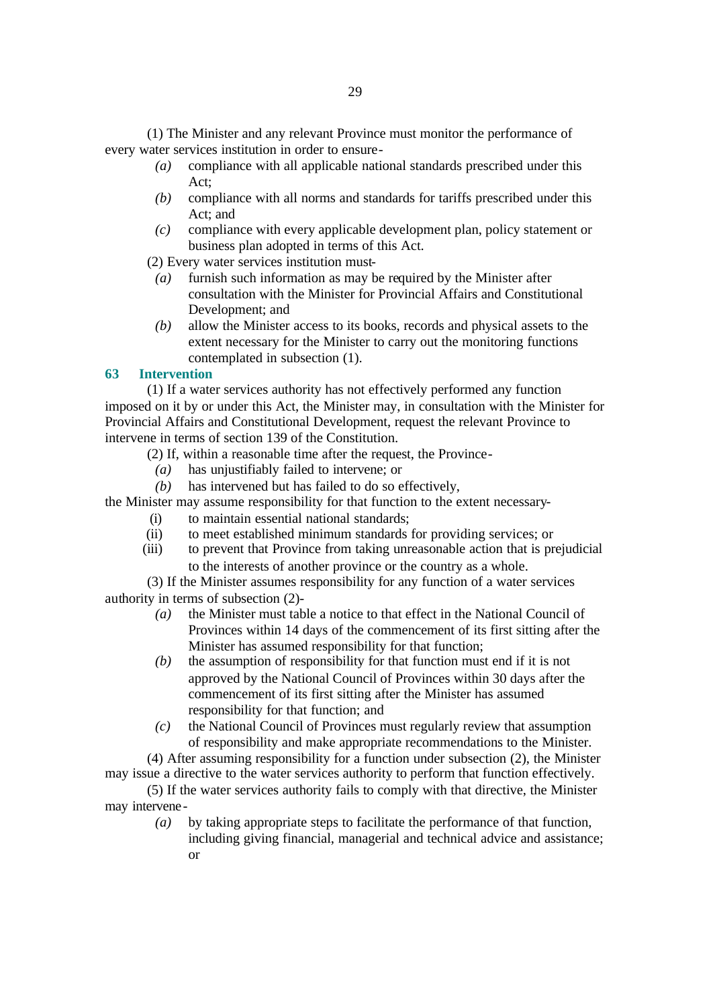(1) The Minister and any relevant Province must monitor the performance of every water services institution in order to ensure-

- *(a)* compliance with all applicable national standards prescribed under this Act;
- *(b)* compliance with all norms and standards for tariffs prescribed under this Act; and
- *(c)* compliance with every applicable development plan, policy statement or business plan adopted in terms of this Act.

(2) Every water services institution must-

- *(a)* furnish such information as may be required by the Minister after consultation with the Minister for Provincial Affairs and Constitutional Development; and
- *(b)* allow the Minister access to its books, records and physical assets to the extent necessary for the Minister to carry out the monitoring functions contemplated in subsection (1).

# **63 Intervention**

(1) If a water services authority has not effectively performed any function imposed on it by or under this Act, the Minister may, in consultation with the Minister for Provincial Affairs and Constitutional Development, request the relevant Province to intervene in terms of section 139 of the Constitution.

- (2) If, within a reasonable time after the request, the Province-
	- *(a)* has unjustifiably failed to intervene; or
- *(b)* has intervened but has failed to do so effectively,

the Minister may assume responsibility for that function to the extent necessary-

- (i) to maintain essential national standards;
- (ii) to meet established minimum standards for providing services; or
- (iii) to prevent that Province from taking unreasonable action that is prejudicial to the interests of another province or the country as a whole.

(3) If the Minister assumes responsibility for any function of a water services authority in terms of subsection (2)-

- *(a)* the Minister must table a notice to that effect in the National Council of Provinces within 14 days of the commencement of its first sitting after the Minister has assumed responsibility for that function;
- *(b)* the assumption of responsibility for that function must end if it is not approved by the National Council of Provinces within 30 days after the commencement of its first sitting after the Minister has assumed responsibility for that function; and
- *(c)* the National Council of Provinces must regularly review that assumption of responsibility and make appropriate recommendations to the Minister.

(4) After assuming responsibility for a function under subsection (2), the Minister may issue a directive to the water services authority to perform that function effectively.

(5) If the water services authority fails to comply with that directive, the Minister may intervene-

*(a)* by taking appropriate steps to facilitate the performance of that function, including giving financial, managerial and technical advice and assistance; or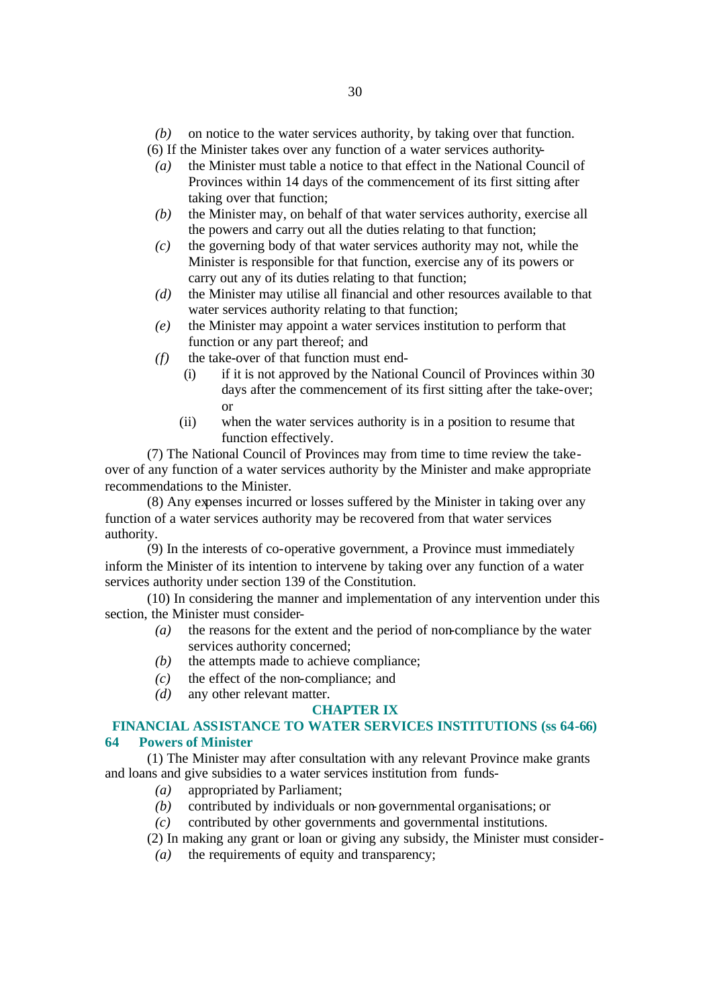*(b)* on notice to the water services authority, by taking over that function. (6) If the Minister takes over any function of a water services authority-

- *(a)* the Minister must table a notice to that effect in the National Council of Provinces within 14 days of the commencement of its first sitting after taking over that function;
- *(b)* the Minister may, on behalf of that water services authority, exercise all the powers and carry out all the duties relating to that function;
- *(c)* the governing body of that water services authority may not, while the Minister is responsible for that function, exercise any of its powers or carry out any of its duties relating to that function;
- *(d)* the Minister may utilise all financial and other resources available to that water services authority relating to that function;
- *(e)* the Minister may appoint a water services institution to perform that function or any part thereof; and
- *(f)* the take-over of that function must end-
	- (i) if it is not approved by the National Council of Provinces within 30 days after the commencement of its first sitting after the take-over; or
	- (ii) when the water services authority is in a position to resume that function effectively.

(7) The National Council of Provinces may from time to time review the takeover of any function of a water services authority by the Minister and make appropriate recommendations to the Minister.

(8) Any expenses incurred or losses suffered by the Minister in taking over any function of a water services authority may be recovered from that water services authority.

(9) In the interests of co-operative government, a Province must immediately inform the Minister of its intention to intervene by taking over any function of a water services authority under section 139 of the Constitution.

(10) In considering the manner and implementation of any intervention under this section, the Minister must consider-

- *(a)* the reasons for the extent and the period of non-compliance by the water services authority concerned;
- *(b)* the attempts made to achieve compliance;
- *(c)* the effect of the non-compliance; and
- *(d)* any other relevant matter.

# **CHAPTER IX**

# **FINANCIAL ASSISTANCE TO WATER SERVICES INSTITUTIONS (ss 64-66) 64 Powers of Minister**

(1) The Minister may after consultation with any relevant Province make grants and loans and give subsidies to a water services institution from funds-

- *(a)* appropriated by Parliament;
- *(b)* contributed by individuals or non-governmental organisations; or
- *(c)* contributed by other governments and governmental institutions.
- (2) In making any grant or loan or giving any subsidy, the Minister must consider-
- *(a)* the requirements of equity and transparency;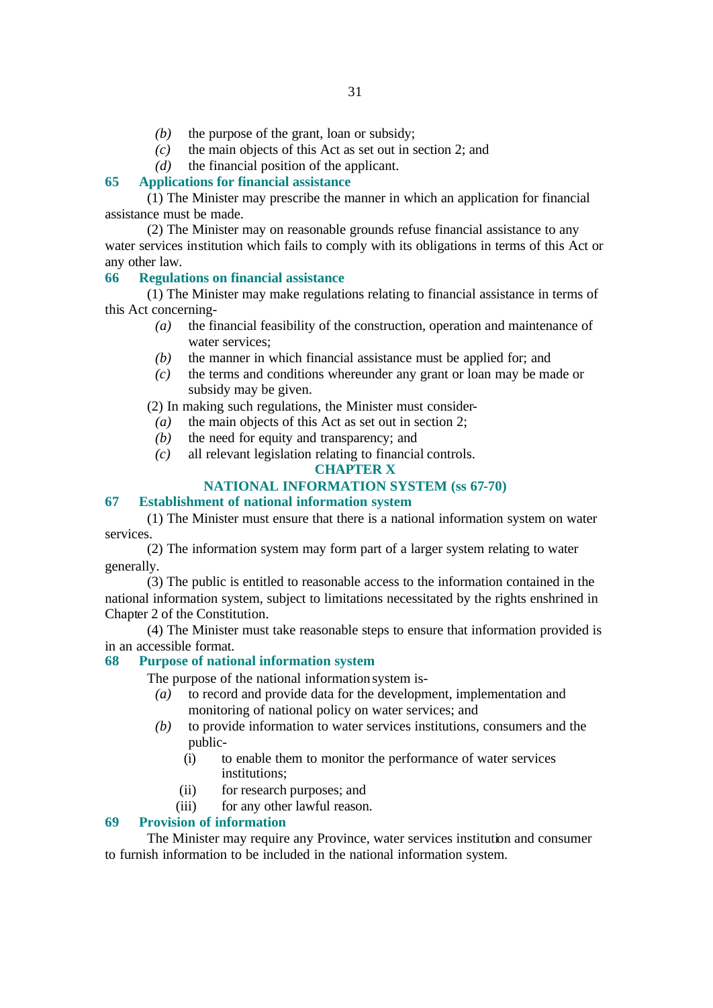- *(b)* the purpose of the grant, loan or subsidy;
- *(c)* the main objects of this Act as set out in section 2; and
- *(d)* the financial position of the applicant.

# **65 Applications for financial assistance**

(1) The Minister may prescribe the manner in which an application for financial assistance must be made.

(2) The Minister may on reasonable grounds refuse financial assistance to any water services institution which fails to comply with its obligations in terms of this Act or any other law.

# **66 Regulations on financial assistance**

(1) The Minister may make regulations relating to financial assistance in terms of this Act concerning-

- *(a)* the financial feasibility of the construction, operation and maintenance of water services;
- *(b)* the manner in which financial assistance must be applied for; and
- *(c)* the terms and conditions whereunder any grant or loan may be made or subsidy may be given.

(2) In making such regulations, the Minister must consider-

- *(a)* the main objects of this Act as set out in section 2;
- *(b)* the need for equity and transparency; and
- *(c)* all relevant legislation relating to financial controls.

# **CHAPTER X**

# **NATIONAL INFORMATION SYSTEM (ss 67-70)**

# **67 Establishment of national information system**

(1) The Minister must ensure that there is a national information system on water services.

(2) The information system may form part of a larger system relating to water generally.

(3) The public is entitled to reasonable access to the information contained in the national information system, subject to limitations necessitated by the rights enshrined in Chapter 2 of the Constitution.

(4) The Minister must take reasonable steps to ensure that information provided is in an accessible format.

# **68 Purpose of national information system**

The purpose of the national information system is-

- *(a)* to record and provide data for the development, implementation and monitoring of national policy on water services; and
- *(b)* to provide information to water services institutions, consumers and the public-
	- (i) to enable them to monitor the performance of water services institutions;
	- (ii) for research purposes; and
	- (iii) for any other lawful reason.

# **69 Provision of information**

The Minister may require any Province, water services institution and consumer to furnish information to be included in the national information system.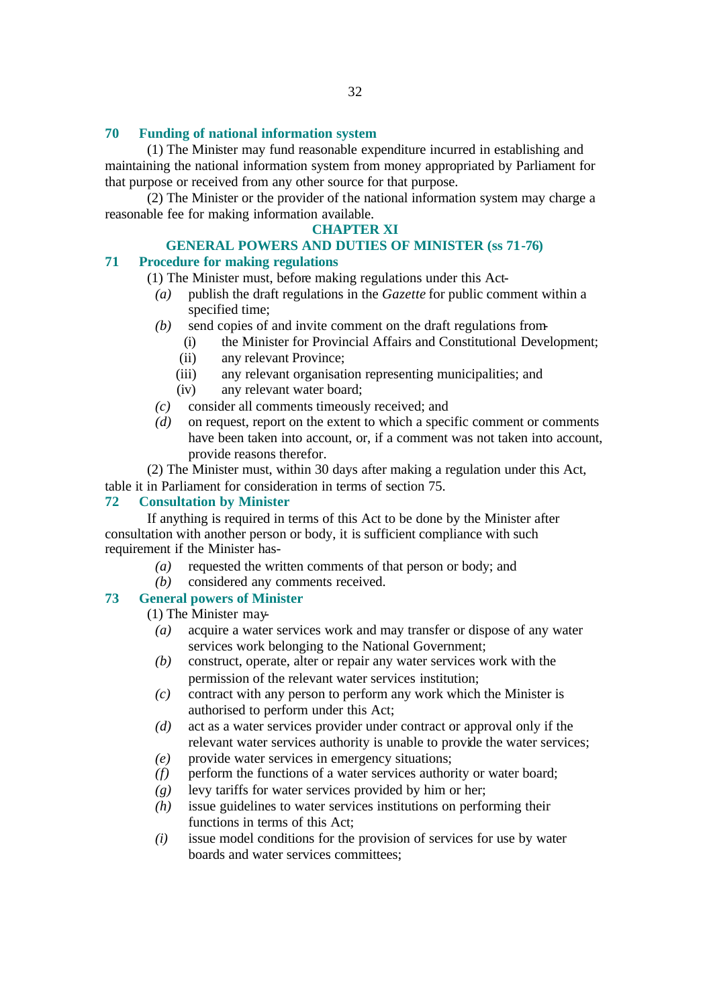### **70 Funding of national information system**

(1) The Minister may fund reasonable expenditure incurred in establishing and maintaining the national information system from money appropriated by Parliament for that purpose or received from any other source for that purpose.

(2) The Minister or the provider of the national information system may charge a reasonable fee for making information available.

#### **CHAPTER XI**

# **GENERAL POWERS AND DUTIES OF MINISTER (ss 71-76)**

# **71 Procedure for making regulations**

- (1) The Minister must, before making regulations under this Act-
	- *(a)* publish the draft regulations in the *Gazette* for public comment within a specified time;
	- *(b)* send copies of and invite comment on the draft regulations from-
		- (i) the Minister for Provincial Affairs and Constitutional Development;
		- (ii) any relevant Province;
		- (iii) any relevant organisation representing municipalities; and
		- (iv) any relevant water board;
	- *(c)* consider all comments timeously received; and
	- *(d)* on request, report on the extent to which a specific comment or comments have been taken into account, or, if a comment was not taken into account, provide reasons therefor.

(2) The Minister must, within 30 days after making a regulation under this Act,

table it in Parliament for consideration in terms of section 75.

# **72 Consultation by Minister**

If anything is required in terms of this Act to be done by the Minister after consultation with another person or body, it is sufficient compliance with such requirement if the Minister has-

- *(a)* requested the written comments of that person or body; and
- *(b)* considered any comments received.

# **73 General powers of Minister**

(1) The Minister may-

- *(a)* acquire a water services work and may transfer or dispose of any water services work belonging to the National Government;
- *(b)* construct, operate, alter or repair any water services work with the permission of the relevant water services institution;
- *(c)* contract with any person to perform any work which the Minister is authorised to perform under this Act;
- *(d)* act as a water services provider under contract or approval only if the relevant water services authority is unable to provide the water services;
- *(e)* provide water services in emergency situations;
- *(f)* perform the functions of a water services authority or water board;
- *(g)* levy tariffs for water services provided by him or her;
- *(h)* issue guidelines to water services institutions on performing their functions in terms of this Act;
- *(i)* issue model conditions for the provision of services for use by water boards and water services committees;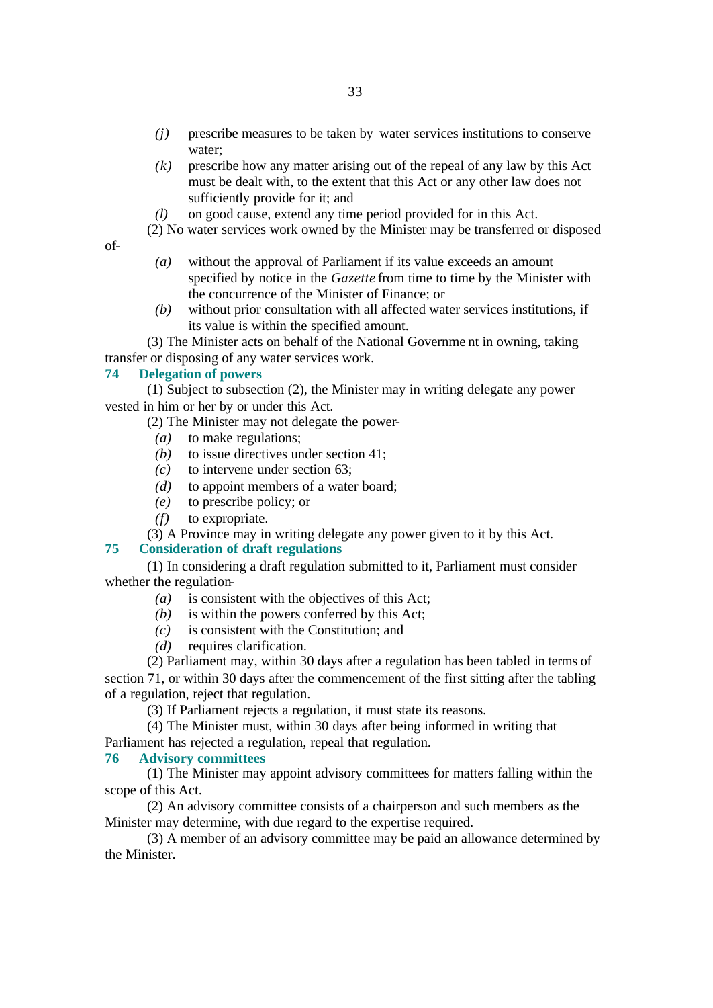- *(j)* prescribe measures to be taken by water services institutions to conserve water;
- *(k)* prescribe how any matter arising out of the repeal of any law by this Act must be dealt with, to the extent that this Act or any other law does not sufficiently provide for it; and
- *(l)* on good cause, extend any time period provided for in this Act.
- (2) No water services work owned by the Minister may be transferred or disposed
- of-
- *(a)* without the approval of Parliament if its value exceeds an amount specified by notice in the *Gazette* from time to time by the Minister with the concurrence of the Minister of Finance; or
- *(b)* without prior consultation with all affected water services institutions, if its value is within the specified amount.

(3) The Minister acts on behalf of the National Governme nt in owning, taking transfer or disposing of any water services work.

# **74 Delegation of powers**

(1) Subject to subsection (2), the Minister may in writing delegate any power vested in him or her by or under this Act.

(2) The Minister may not delegate the power-

- *(a)* to make regulations;
- *(b)* to issue directives under section 41;
- *(c)* to intervene under section 63;
- *(d)* to appoint members of a water board;
- *(e)* to prescribe policy; or
- *(f)* to expropriate.

(3) A Province may in writing delegate any power given to it by this Act.

### **75 Consideration of draft regulations**

(1) In considering a draft regulation submitted to it, Parliament must consider whether the regulation-

- *(a)* is consistent with the objectives of this Act;
- *(b)* is within the powers conferred by this Act;
- *(c)* is consistent with the Constitution; and
- *(d)* requires clarification.

(2) Parliament may, within 30 days after a regulation has been tabled in terms of section 71, or within 30 days after the commencement of the first sitting after the tabling of a regulation, reject that regulation.

(3) If Parliament rejects a regulation, it must state its reasons.

(4) The Minister must, within 30 days after being informed in writing that Parliament has rejected a regulation, repeal that regulation.

# **76 Advisory committees**

(1) The Minister may appoint advisory committees for matters falling within the scope of this Act.

(2) An advisory committee consists of a chairperson and such members as the Minister may determine, with due regard to the expertise required.

(3) A member of an advisory committee may be paid an allowance determined by the Minister.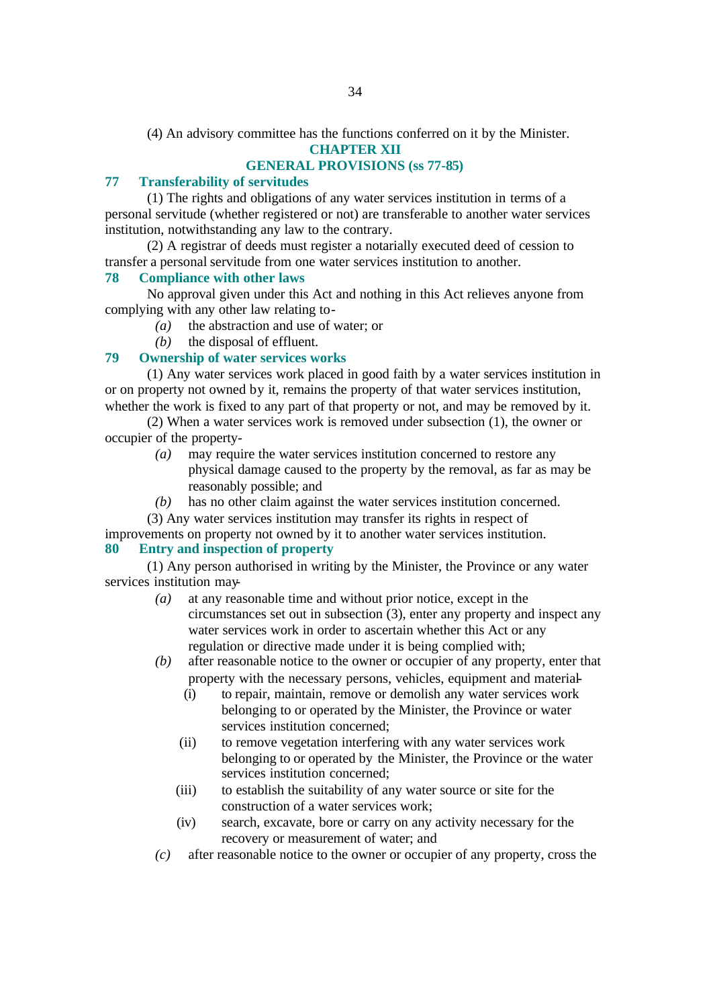(4) An advisory committee has the functions conferred on it by the Minister.

**CHAPTER XII**

# **GENERAL PROVISIONS (ss 77-85)**

# **77 Transferability of servitudes**

(1) The rights and obligations of any water services institution in terms of a personal servitude (whether registered or not) are transferable to another water services institution, notwithstanding any law to the contrary.

(2) A registrar of deeds must register a notarially executed deed of cession to transfer a personal servitude from one water services institution to another.

### **78 Compliance with other laws**

No approval given under this Act and nothing in this Act relieves anyone from complying with any other law relating to-

- *(a)* the abstraction and use of water; or
- *(b)* the disposal of effluent.

# **79 Ownership of water services works**

(1) Any water services work placed in good faith by a water services institution in or on property not owned by it, remains the property of that water services institution, whether the work is fixed to any part of that property or not, and may be removed by it.

(2) When a water services work is removed under subsection (1), the owner or occupier of the property-

- *(a)* may require the water services institution concerned to restore any physical damage caused to the property by the removal, as far as may be reasonably possible; and
- *(b)* has no other claim against the water services institution concerned.
- (3) Any water services institution may transfer its rights in respect of

improvements on property not owned by it to another water services institution. **80 Entry and inspection of property**

(1) Any person authorised in writing by the Minister, the Province or any water services institution may-

- *(a)* at any reasonable time and without prior notice, except in the circumstances set out in subsection (3), enter any property and inspect any water services work in order to ascertain whether this Act or any regulation or directive made under it is being complied with;
- *(b)* after reasonable notice to the owner or occupier of any property, enter that property with the necessary persons, vehicles, equipment and material-
	- (i) to repair, maintain, remove or demolish any water services work belonging to or operated by the Minister, the Province or water services institution concerned;
	- (ii) to remove vegetation interfering with any water services work belonging to or operated by the Minister, the Province or the water services institution concerned;
	- (iii) to establish the suitability of any water source or site for the construction of a water services work;
	- (iv) search, excavate, bore or carry on any activity necessary for the recovery or measurement of water; and
- *(c)* after reasonable notice to the owner or occupier of any property, cross the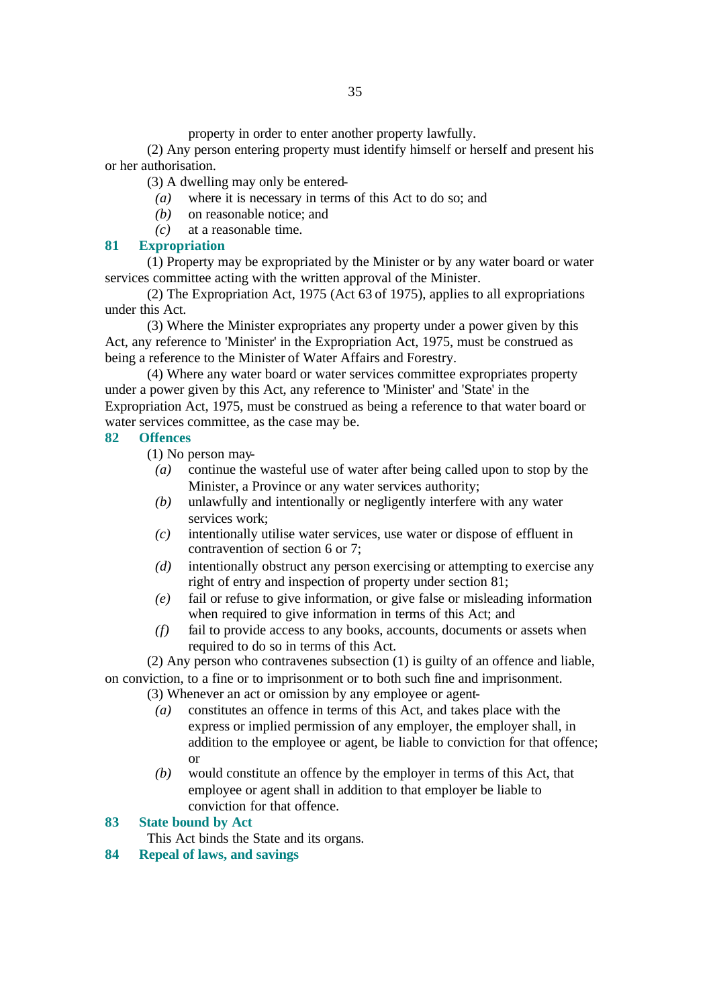property in order to enter another property lawfully.

(2) Any person entering property must identify himself or herself and present his or her authorisation.

(3) A dwelling may only be entered-

- *(a)* where it is necessary in terms of this Act to do so; and
- *(b)* on reasonable notice; and
- *(c)* at a reasonable time.

# **81 Expropriation**

(1) Property may be expropriated by the Minister or by any water board or water services committee acting with the written approval of the Minister.

(2) The Expropriation Act, 1975 (Act 63 of 1975), applies to all expropriations under this Act.

(3) Where the Minister expropriates any property under a power given by this Act, any reference to 'Minister' in the Expropriation Act, 1975, must be construed as being a reference to the Minister of Water Affairs and Forestry.

(4) Where any water board or water services committee expropriates property under a power given by this Act, any reference to 'Minister' and 'State' in the Expropriation Act, 1975, must be construed as being a reference to that water board or water services committee, as the case may be.

# **82 Offences**

(1) No person may-

- *(a)* continue the wasteful use of water after being called upon to stop by the Minister, a Province or any water services authority;
- *(b)* unlawfully and intentionally or negligently interfere with any water services work;
- *(c)* intentionally utilise water services, use water or dispose of effluent in contravention of section 6 or 7;
- *(d)* intentionally obstruct any person exercising or attempting to exercise any right of entry and inspection of property under section 81;
- *(e)* fail or refuse to give information, or give false or misleading information when required to give information in terms of this Act; and
- *(f)* fail to provide access to any books, accounts, documents or assets when required to do so in terms of this Act.

(2) Any person who contravenes subsection (1) is guilty of an offence and liable, on conviction, to a fine or to imprisonment or to both such fine and imprisonment.

(3) Whenever an act or omission by any employee or agent-

- *(a)* constitutes an offence in terms of this Act, and takes place with the express or implied permission of any employer, the employer shall, in addition to the employee or agent, be liable to conviction for that offence; or
- *(b)* would constitute an offence by the employer in terms of this Act, that employee or agent shall in addition to that employer be liable to conviction for that offence.

# **83 State bound by Act**

This Act binds the State and its organs.

**84 Repeal of laws, and savings**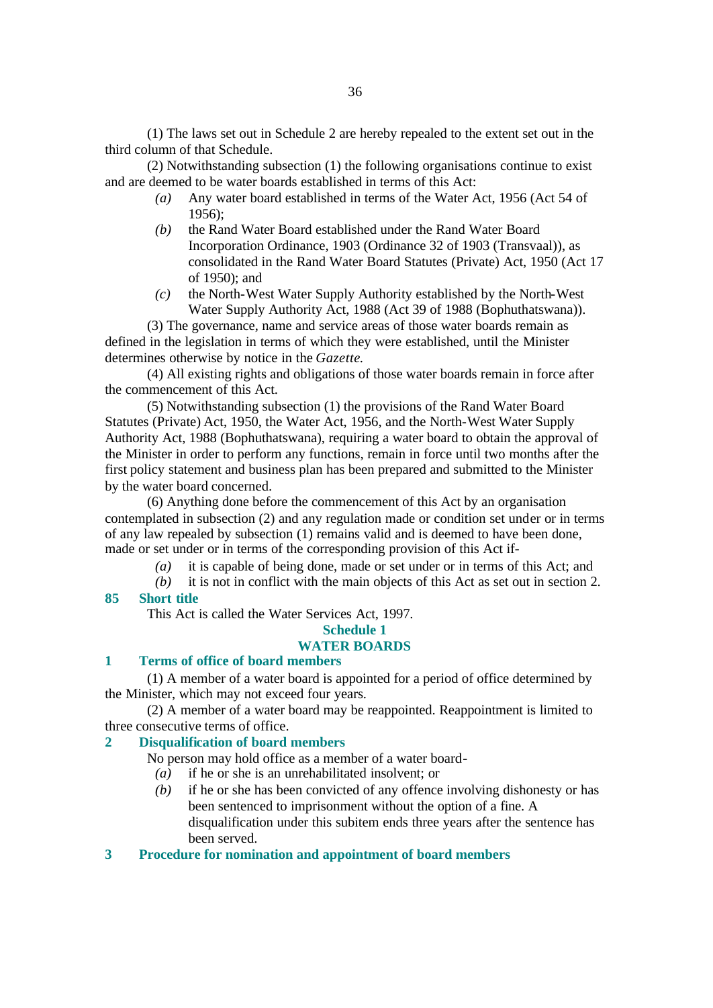(1) The laws set out in Schedule 2 are hereby repealed to the extent set out in the third column of that Schedule.

(2) Notwithstanding subsection (1) the following organisations continue to exist and are deemed to be water boards established in terms of this Act:

- *(a)* Any water board established in terms of the Water Act, 1956 (Act 54 of 1956);
- *(b)* the Rand Water Board established under the Rand Water Board Incorporation Ordinance, 1903 (Ordinance 32 of 1903 (Transvaal)), as consolidated in the Rand Water Board Statutes (Private) Act, 1950 (Act 17 of 1950); and
- *(c)* the North-West Water Supply Authority established by the North-West Water Supply Authority Act, 1988 (Act 39 of 1988 (Bophuthatswana)).

(3) The governance, name and service areas of those water boards remain as defined in the legislation in terms of which they were established, until the Minister determines otherwise by notice in the *Gazette*.

(4) All existing rights and obligations of those water boards remain in force after the commencement of this Act.

(5) Notwithstanding subsection (1) the provisions of the Rand Water Board Statutes (Private) Act, 1950, the Water Act, 1956, and the North-West Water Supply Authority Act, 1988 (Bophuthatswana), requiring a water board to obtain the approval of the Minister in order to perform any functions, remain in force until two months after the first policy statement and business plan has been prepared and submitted to the Minister by the water board concerned.

(6) Anything done before the commencement of this Act by an organisation contemplated in subsection (2) and any regulation made or condition set under or in terms of any law repealed by subsection (1) remains valid and is deemed to have been done, made or set under or in terms of the corresponding provision of this Act if-

- *(a)* it is capable of being done, made or set under or in terms of this Act; and
- *(b)* it is not in conflict with the main objects of this Act as set out in section 2. **85 Short title**

This Act is called the Water Services Act, 1997.

# **Schedule 1**

# **WATER BOARDS**

# **1 Terms of office of board members**

(1) A member of a water board is appointed for a period of office determined by the Minister, which may not exceed four years.

(2) A member of a water board may be reappointed. Reappointment is limited to three consecutive terms of office.

#### **2 Disqualification of board members**

No person may hold office as a member of a water board-

- *(a)* if he or she is an unrehabilitated insolvent; or
- *(b)* if he or she has been convicted of any offence involving dishonesty or has been sentenced to imprisonment without the option of a fine. A disqualification under this subitem ends three years after the sentence has been served.

# **3 Procedure for nomination and appointment of board members**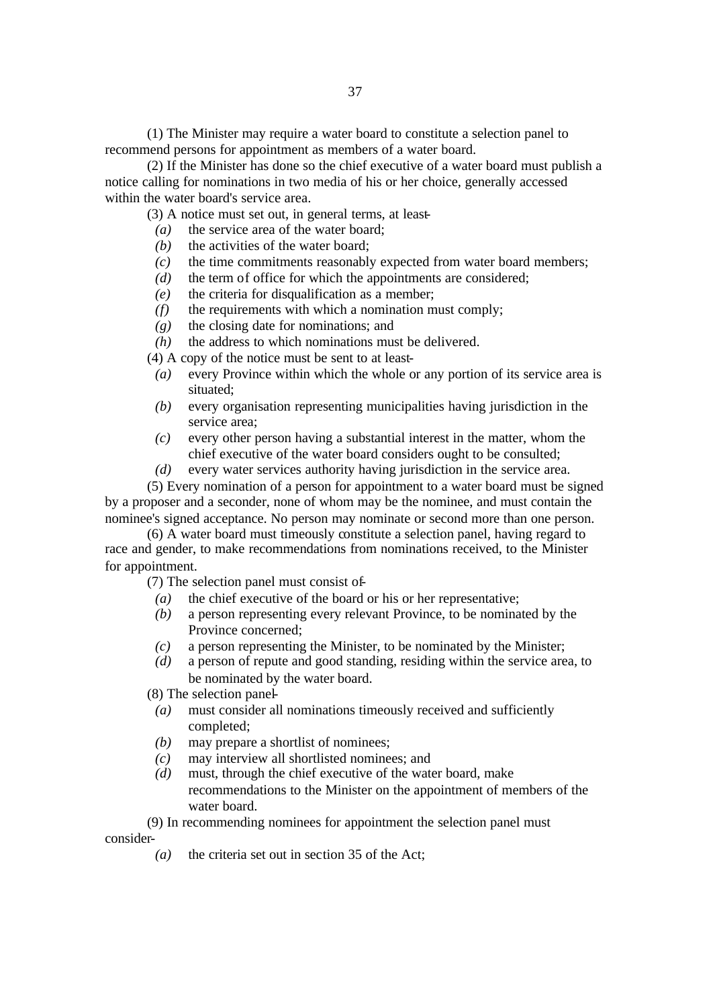(1) The Minister may require a water board to constitute a selection panel to recommend persons for appointment as members of a water board.

(2) If the Minister has done so the chief executive of a water board must publish a notice calling for nominations in two media of his or her choice, generally accessed within the water board's service area.

(3) A notice must set out, in general terms, at least-

- *(a)* the service area of the water board;
- *(b)* the activities of the water board;
- *(c)* the time commitments reasonably expected from water board members;
- *(d)* the term of office for which the appointments are considered;
- *(e)* the criteria for disqualification as a member;
- *(f)* the requirements with which a nomination must comply;
- *(g)* the closing date for nominations; and
- *(h)* the address to which nominations must be delivered.

(4) A copy of the notice must be sent to at least-

- *(a)* every Province within which the whole or any portion of its service area is situated;
- *(b)* every organisation representing municipalities having jurisdiction in the service area;
- *(c)* every other person having a substantial interest in the matter, whom the chief executive of the water board considers ought to be consulted;
- *(d)* every water services authority having jurisdiction in the service area.

(5) Every nomination of a person for appointment to a water board must be signed by a proposer and a seconder, none of whom may be the nominee, and must contain the nominee's signed acceptance. No person may nominate or second more than one person.

(6) A water board must timeously constitute a selection panel, having regard to race and gender, to make recommendations from nominations received, to the Minister for appointment.

(7) The selection panel must consist of-

- *(a)* the chief executive of the board or his or her representative;
- *(b)* a person representing every relevant Province, to be nominated by the Province concerned;
- *(c)* a person representing the Minister, to be nominated by the Minister;
- *(d)* a person of repute and good standing, residing within the service area, to be nominated by the water board.

(8) The selection panel-

- *(a)* must consider all nominations timeously received and sufficiently completed;
- *(b)* may prepare a shortlist of nominees;
- *(c)* may interview all shortlisted nominees; and
- *(d)* must, through the chief executive of the water board, make recommendations to the Minister on the appointment of members of the water board.

(9) In recommending nominees for appointment the selection panel must consider-

*(a)* the criteria set out in section 35 of the Act;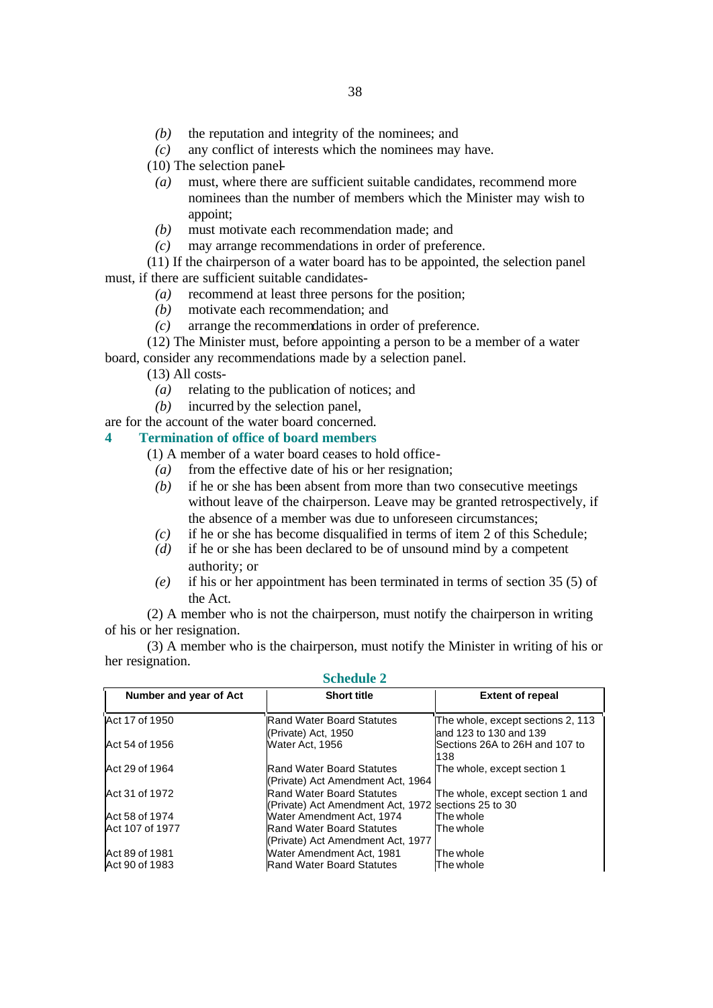- *(b)* the reputation and integrity of the nominees; and
- *(c)* any conflict of interests which the nominees may have.
- (10) The selection panel-
- *(a)* must, where there are sufficient suitable candidates, recommend more nominees than the number of members which the Minister may wish to appoint;
- *(b)* must motivate each recommendation made; and
- *(c)* may arrange recommendations in order of preference.

(11) If the chairperson of a water board has to be appointed, the selection panel must, if there are sufficient suitable candidates-

- *(a)* recommend at least three persons for the position;
- *(b)* motivate each recommendation; and
- *(c)* arrange the recommendations in order of preference.
- (12) The Minister must, before appointing a person to be a member of a water board, consider any recommendations made by a selection panel.

(13) All costs-

- *(a)* relating to the publication of notices; and
- *(b)* incurred by the selection panel,

are for the account of the water board concerned.

- **4 Termination of office of board members** 
	- (1) A member of a water board ceases to hold office-
		- *(a)* from the effective date of his or her resignation;
		- *(b)* if he or she has been absent from more than two consecutive meetings without leave of the chairperson. Leave may be granted retrospectively, if the absence of a member was due to unforeseen circumstances;
		- *(c)* if he or she has become disqualified in terms of item 2 of this Schedule;
	- *(d)* if he or she has been declared to be of unsound mind by a competent authority; or
	- *(e)* if his or her appointment has been terminated in terms of section 35 (5) of the Act.

(2) A member who is not the chairperson, must notify the chairperson in writing of his or her resignation.

(3) A member who is the chairperson, must notify the Minister in writing of his or her resignation.

| Number and year of Act | <b>Short title</b>                                  | <b>Extent of repeal</b>                                  |
|------------------------|-----------------------------------------------------|----------------------------------------------------------|
| Act 17 of 1950         | <b>Rand Water Board Statutes</b>                    | The whole, except sections 2, 113                        |
| Act 54 of 1956         | (Private) Act, 1950<br>Water Act, 1956              | and 123 to 130 and 139<br>Sections 26A to 26H and 107 to |
|                        |                                                     | 138                                                      |
| Act 29 of 1964         | Rand Water Board Statutes                           | The whole, except section 1                              |
|                        | (Private) Act Amendment Act, 1964                   |                                                          |
| Act 31 of 1972         | Rand Water Board Statutes                           | The whole, except section 1 and                          |
|                        | (Private) Act Amendment Act, 1972 sections 25 to 30 |                                                          |
| Act 58 of 1974         | Water Amendment Act, 1974                           | The whole                                                |
| Act 107 of 1977        | Rand Water Board Statutes                           | The whole                                                |
|                        | (Private) Act Amendment Act, 1977                   |                                                          |
| Act 89 of 1981         | <b>Water Amendment Act. 1981</b>                    | The whole                                                |
| Act 90 of 1983         | <b>Rand Water Board Statutes</b>                    | The whole                                                |

**Schedule 2**